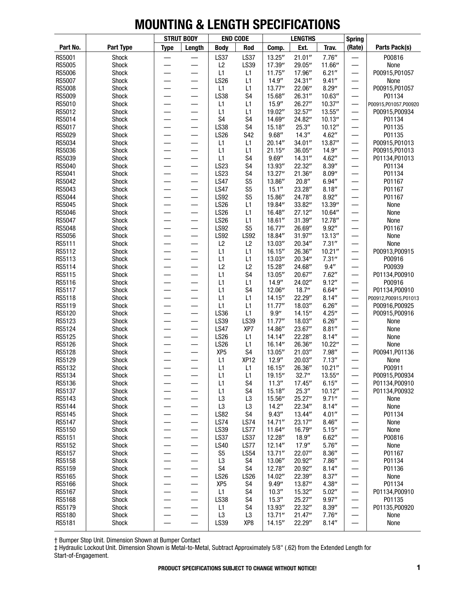|                  |                |                               | <b>STRUT BODY</b>             | <b>END CODE</b>      |                                  |                      | <b>LENGTHS</b>   |                   | <b>Spring</b>                 |                                        |
|------------------|----------------|-------------------------------|-------------------------------|----------------------|----------------------------------|----------------------|------------------|-------------------|-------------------------------|----------------------------------------|
| Part No.         | Part Type      | <b>Type</b>                   | Length                        | <b>Body</b>          | Rod                              | Comp.                | Ext.             | Trav.             | (Rate)                        | Parts Pack(s)                          |
| RS5001           | Shock          |                               |                               | <b>LS37</b>          | <b>LS37</b>                      | 13.25"               | 21.01''          | 7.76''            |                               | P00816                                 |
| <b>RS5005</b>    | Shock          |                               |                               | L2                   | LS39                             | 17.39"               | 29.05"           | 11.66"            |                               | None                                   |
| <b>RS5006</b>    | Shock          |                               |                               | L1                   | L1                               | 11.75''              | 17.96"           | 6.21''            | $\overline{\phantom{0}}$      | P00915, P01057                         |
| <b>RS5007</b>    | Shock          |                               |                               | <b>LS26</b>          | L1                               | 14.9''               | 24.31"           | 9.41''            | —                             | None                                   |
| <b>RS5008</b>    | Shock          |                               |                               | L1                   | L1                               | 13.77"               | 22.06"           | 8.29''            | $\qquad \qquad$               | P00915, P01057                         |
| <b>RS5009</b>    | Shock          | —                             | $\overline{\phantom{0}}$      | LS38                 | S <sub>4</sub>                   | 15.68"               | 26.31"           | 10.63"            |                               | P01134                                 |
| RS5010<br>RS5012 | Shock<br>Shock | —<br>$\overline{\phantom{0}}$ | —<br>$\overline{\phantom{0}}$ | L1<br>L1             | L1<br>L1                         | 15.9''<br>19.02"     | 26.27"<br>32.57" | 10.37''<br>13.55" | $\overline{\phantom{0}}$      | P00915,P01057,P00920<br>P00915, P00934 |
| RS5014           | Shock          |                               |                               | S <sub>4</sub>       | S <sub>4</sub>                   | 14.69"               | 24.82"           | 10.13''           | —<br>$\overline{\phantom{0}}$ | P01134                                 |
| RS5017           | Shock          |                               | $\overline{\phantom{0}}$      | <b>LS38</b>          | S <sub>4</sub>                   | 15.18"               | 25.3''           | 10.12"            |                               | P01135                                 |
| RS5029           | Shock          |                               |                               | <b>LS26</b>          | S42                              | 9.68''               | 14.3''           | 4.62''            | —                             | P01135                                 |
| RS5034           | Shock          |                               |                               | L1                   | L1                               | 20.14"               | 34.01''          | 13.87"            | —                             | P00915, P01013                         |
| RS5036           | Shock          | —                             | $\overline{\phantom{0}}$      | L1                   | L1                               | 21.15''              | 36.05"           | 14.9''            | $\overline{\phantom{0}}$      | P00915, P01013                         |
| RS5039           | Shock          | —                             | $\overline{\phantom{0}}$      | L1                   | S <sub>4</sub>                   | 9.69''               | 14.31''          | 4.62''            |                               | P01134, P01013                         |
| RS5040           | Shock          |                               | —                             | <b>LS23</b>          | S <sub>4</sub>                   | 13.93"               | 22.32"           | 8.39''            | —                             | P01134                                 |
| RS5041           | Shock          | $\overline{\phantom{0}}$      | —                             | LS23                 | S <sub>4</sub>                   | 13.27"               | 21.36''          | 8.09''            | —                             | P01134                                 |
| RS5042           | Shock          |                               | $\overline{\phantom{0}}$      | <b>LS47</b>          | S <sub>5</sub>                   | 13.86"               | 20.8''           | 6.94''            | —                             | P01167                                 |
| RS5043           | Shock          |                               |                               | <b>LS47</b>          | S <sub>5</sub>                   | 15.1''               | 23.28"           | 8.18''            | —                             | P01167                                 |
| RS5044           | Shock          | $\overline{\phantom{0}}$      | $\overline{\phantom{0}}$      | <b>LS92</b>          | S <sub>5</sub>                   | 15.86"               | 24.78"           | 8.92''            | $\overline{\phantom{0}}$      | P01167                                 |
| RS5045           | Shock          | $\overline{\phantom{0}}$      | $\overline{\phantom{0}}$      | <b>LS26</b>          | L1                               | 19.84"               | 33.82"           | 13.39"            | —                             | None                                   |
| <b>RS5046</b>    | Shock          | —                             | $\overline{\phantom{0}}$      | <b>LS26</b>          | L1                               | 16.48"               | 27.12"           | 10.64"            | —                             | None                                   |
| RS5047           | Shock          | —                             | —                             | <b>LS26</b>          | L1                               | 18.61''              | 31.39''          | 12.78"            |                               | None                                   |
| <b>RS5048</b>    | Shock          | $\overline{\phantom{0}}$      | —                             | <b>LS92</b>          | S <sub>5</sub>                   | 16.77"               | 26.69"           | 9.92"             | $\overline{\phantom{0}}$      | P01167                                 |
| RS5056           | Shock          | $\overline{\phantom{0}}$      | $\overline{\phantom{0}}$      | <b>LS92</b>          | <b>LS92</b>                      | 18.84"               | 31.97''          | 13.13"            | —                             | None                                   |
| RS5111           | Shock          |                               |                               | L2                   | L2                               | 13.03"               | 20.34"           | 7.31''            |                               | None                                   |
| RS5112<br>RS5113 | Shock          |                               |                               | L1<br>L1             | L1                               | 16.15''              | 26.36"           | 10.21''           | —                             | P00913, P00915                         |
| RS5114           | Shock<br>Shock | —<br>—                        | —                             | L2                   | L1<br>L2                         | 13.03"<br>15.28"     | 20.34"<br>24.68" | 7.31''<br>9.4''   | —<br>—                        | P00916<br>P00939                       |
| RS5115           | Shock          | —                             | —                             | L1                   | S <sub>4</sub>                   | 13.05"               | 20.67"           | 7.62''            | $\overline{\phantom{0}}$      | P01134, P00910                         |
| RS5116           | Shock          | $\overline{\phantom{0}}$      | $\overline{\phantom{0}}$      | L1                   | L1                               | 14.9''               | 24.02"           | 9.12''            | $\qquad \qquad -$             | P00916                                 |
| RS5117           | Shock          | $\overline{\phantom{0}}$      | $\overline{\phantom{0}}$      | L1                   | S <sub>4</sub>                   | 12.06"               | 18.7''           | 6.64''            | $\qquad \qquad$               | P01134, P00910                         |
| RS5118           | Shock          |                               |                               | L1                   | L1                               | 14.15"               | 22.29"           | 8.14''            |                               | P00912,P00915,P01013                   |
| RS5119           | Shock          | $\overline{\phantom{0}}$      | $\overline{\phantom{0}}$      | L1                   | L1                               | 11.77''              | 18.03"           | 6.26''            | —                             | P00916, P00925                         |
| RS5120           | Shock          | $\overline{\phantom{0}}$      |                               | LS36                 | L1                               | $9.9^{\prime\prime}$ | 14.15"           | 4.25''            | $\overline{\phantom{0}}$      | P00915, P00916                         |
| RS5123           | Shock          | $\overline{\phantom{0}}$      | $\overline{\phantom{0}}$      | LS39                 | LS39                             | 11.77''              | 18.03"           | 6.26''            | $\overline{\phantom{0}}$      | None                                   |
| RS5124           | Shock          | $\overline{\phantom{0}}$      | $\overline{\phantom{0}}$      | <b>LS47</b>          | XP7                              | 14.86"               | 23.67"           | 8.81''            | —                             | None                                   |
| RS5125           | Shock          |                               |                               | <b>LS26</b>          | L1                               | 14.14''              | 22.28"           | 8.14''            | —                             | None                                   |
| RS5126           | Shock          |                               | —                             | <b>LS26</b>          | L1                               | 16.14''              | 26.36"           | 10.22"            | —                             | None                                   |
| RS5128           | Shock          |                               |                               | XP <sub>5</sub>      | S4                               | 13.05"               | 21.03"           | 7.98"             |                               | P00941, P01136                         |
| RS5129           | Shock          |                               |                               | L1                   | XP <sub>12</sub>                 | 12.9''               | 20.03"           | 7.13''            |                               | None                                   |
| RS5132           | Shock          |                               |                               | L1                   | L1                               | 16.15''              | 26.36"           | 10.21''           |                               | P00911                                 |
| RS5134           | Shock          |                               |                               | L1                   | L1                               | 19.15"               | 32.7''           | 13.55"            | —                             | P00915, P00934                         |
| RS5136           | Shock          |                               | $\overline{\phantom{0}}$      | L1                   | S4                               | 11.3''               | 17.45"           | 6.15''            |                               | P01134, P00910                         |
| RS5137<br>RS5143 | Shock<br>Shock |                               | —                             | L1                   | S <sub>4</sub><br>L <sub>3</sub> | 15.18"<br>15.56"     | 25.3''<br>25.27" | 10.12"<br>9.71''  | —                             | P01134, P00932<br>None                 |
| RS5144           | Shock          |                               | $\overline{\phantom{0}}$      | L <sub>3</sub><br>L3 | L <sub>3</sub>                   | 14.2"                | 22.34"           | 8.14''            | —                             | None                                   |
| RS5145           | Shock          |                               | $\overline{\phantom{0}}$      | <b>LS82</b>          | S4                               | 9.43''               | 13.44"           | 4.01''            |                               | P01134                                 |
| RS5147           | Shock          | —                             | —                             | LS74                 | LS74                             | 14.71''              | 23.17"           | 8.46''            | —                             | None                                   |
| RS5150           | Shock          |                               | —                             | LS39                 | LS77                             | 11.64"               | 16.79"           | 5.15''            |                               | None                                   |
| RS5151           | Shock          | —                             | $\overline{\phantom{0}}$      | LS37                 | <b>LS37</b>                      | 12.28"               | 18.9''           | 6.62''            | —                             | P00816                                 |
| RS5152           | Shock          | —                             | —                             | <b>LS40</b>          | LS77                             | 12.14"               | 17.9''           | 5.76''            | —                             | None                                   |
| RS5157           | Shock          |                               | —                             | S <sub>5</sub>       | <b>LS54</b>                      | 13.71''              | 22.07"           | 8.36''            | —                             | P01167                                 |
| RS5158           | Shock          |                               | —                             | L <sub>3</sub>       | S4                               | 13.06"               | 20.92"           | 7.86''            |                               | P01134                                 |
| RS5159           | Shock          | —                             | $\overline{\phantom{0}}$      | S4                   | S <sub>4</sub>                   | 12.78"               | 20.92"           | 8.14''            | —                             | P01136                                 |
| RS5165           | Shock          | —                             | —                             | <b>LS26</b>          | <b>LS26</b>                      | 14.02"               | 22.39"           | 8.37''            | —                             | None                                   |
| RS5166           | Shock          | —                             | —                             | XP <sub>5</sub>      | S4                               | 9.49''               | 13.87"           | 4.38''            | —                             | P01134                                 |
| RS5167           | Shock          | $\overline{\phantom{0}}$      | $\qquad \qquad$               | L1                   | S4                               | 10.3''               | 15.32"           | 5.02''            | $\overbrace{\phantom{13333}}$ | P01134, P00910                         |
| RS5168           | Shock          | —                             | $\overbrace{\phantom{13333}}$ | LS38                 | S4                               | 15.3''               | 25.27"           | 9.97''            | —                             | P01135                                 |
| RS5179           | Shock          |                               | —                             | L1                   | S4                               | 13.93"               | 22.32"           | 8.39''            | —                             | P01135, P00920                         |
| RS5180           | Shock          |                               | —                             | L <sub>3</sub>       | L <sub>3</sub>                   | 13.71''              | 21.47''          | 7.76''            |                               | None                                   |
| RS5181           | Shock          |                               |                               | LS39                 | XP8                              | 14.15''              | 22.29"           | 8.14''            | $\overline{\phantom{0}}$      | None                                   |

† Bumper Stop Unit. Dimension Shown at Bumper Contact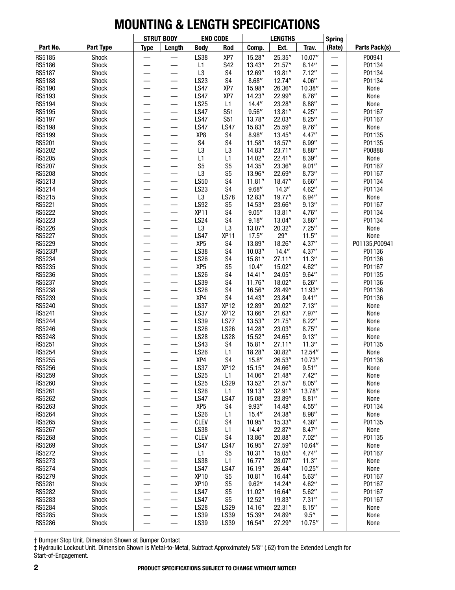|                     |                       |                          | <b>STRUT BODY</b>        | <b>END CODE</b>            |                                    |                   | <b>LENGTHS</b>   |                  | <b>Spring</b>            |                |
|---------------------|-----------------------|--------------------------|--------------------------|----------------------------|------------------------------------|-------------------|------------------|------------------|--------------------------|----------------|
| Part No.            | Part Type             | <b>Type</b>              | Length                   | <b>Body</b>                | Rod                                | Comp.             | Ext.             | Trav.            | (Rate)                   | Parts Pack(s)  |
| RS5185              | Shock                 |                          |                          | LS38                       | XP7                                | 15.28"            | 25.35"           | 10.07"           |                          | P00941         |
| RS5186              | Shock                 |                          |                          | L1                         | S42                                | 13.43"            | 21.57''          | 8.14''           |                          | P01134         |
| RS5187              | Shock                 |                          |                          | L <sub>3</sub>             | S <sub>4</sub>                     | 12.69"            | 19.81"           | 7.12''           |                          | P01134         |
| RS5188              | Shock                 |                          |                          | <b>LS23</b>                | S <sub>4</sub>                     | 8.68''            | 12.74"           | 4.06''           | $\overline{\phantom{0}}$ | P01134         |
| RS5190              | Shock                 |                          |                          | <b>LS47</b>                | XP7                                | 15.98"            | 26.36"           | 10.38"           |                          | None           |
| RS5193              | Shock                 |                          |                          | <b>LS47</b>                | XP7                                | 14.23"            | 22.99"           | 8.76''           |                          | None           |
| RS5194              | Shock                 |                          |                          | <b>LS25</b>                | L1                                 | 14.4''            | 23.28"           | 8.88''           |                          | None           |
| RS5195              | Shock<br><b>Shock</b> | —                        | $\overline{\phantom{0}}$ | <b>LS47</b>                | <b>S51</b>                         | 9.56''            | 13.81''          | 4.25''           | $\overline{\phantom{0}}$ | P01167         |
| RS5197<br>RS5198    | Shock                 |                          |                          | <b>LS47</b><br><b>LS47</b> | S51<br><b>LS47</b>                 | 13.78"<br>15.83"  | 22.03"<br>25.59" | 8.25''<br>9.76'' | $\overline{\phantom{0}}$ | P01167<br>None |
| RS5199              | Shock                 |                          |                          | XP8                        | S <sub>4</sub>                     | 8.98''            | 13.45''          | 4.47''           |                          | P01135         |
| RS5201              | Shock                 |                          |                          | S <sub>4</sub>             | S <sub>4</sub>                     | 11.58"            | 18.57"           | 6.99''           |                          | P01135         |
| RS5202              | Shock                 |                          |                          | L <sub>3</sub>             | L <sub>3</sub>                     | 14.83"            | 23.71"           | 8.88''           | —                        | P00888         |
| RS5205              | Shock                 |                          |                          | L1                         | L1                                 | 14.02"            | 22.41''          | 8.39''           |                          | None           |
| RS5207              | Shock                 |                          |                          | S <sub>5</sub>             | S <sub>5</sub>                     | 14.35"            | 23.36"           | 9.01''           | $\overline{\phantom{0}}$ | P01167         |
| <b>RS5208</b>       | Shock                 |                          |                          | L <sub>3</sub>             | S <sub>5</sub>                     | 13.96"            | 22.69"           | 8.73''           | $\overline{\phantom{0}}$ | P01167         |
| RS5213              | Shock                 |                          |                          | <b>LS50</b>                | S <sub>4</sub>                     | 11.81''           | 18.47"           | 6.66''           |                          | P01134         |
| RS5214              | Shock                 |                          |                          | <b>LS23</b>                | S <sub>4</sub>                     | 9.68''            | 14.3''           | 4.62"            | $\overline{\phantom{0}}$ | P01134         |
| RS5215              | Shock                 |                          |                          | L <sub>3</sub>             | <b>LS78</b>                        | 12.83"            | 19.77"           | 6.94''           |                          | None           |
| RS5221              | Shock                 |                          |                          | LS92                       | S <sub>5</sub>                     | 14.53"            | 23.66"           | 9.13''           |                          | P01167         |
| RS5222              | Shock                 |                          |                          | XP <sub>11</sub>           | S <sub>4</sub>                     | 9.05''            | 13.81''          | 4.76''           |                          | P01134         |
| RS5223              | Shock                 |                          |                          | <b>LS24</b>                | S <sub>4</sub>                     | 9.18''            | 13.04"           | 3.86''           | $\overline{\phantom{0}}$ | P01134         |
| RS5226              | <b>Shock</b>          |                          | —                        | L <sub>3</sub>             | L <sub>3</sub>                     | 13.07"            | 20.32"           | 7.25''           | —                        | None           |
| RS5227              | Shock                 |                          |                          | <b>LS47</b>                | XP <sub>11</sub>                   | 17.5''            | 29''             | 11.5''           |                          | None           |
| RS5229              | Shock                 |                          |                          | XP <sub>5</sub>            | S <sub>4</sub>                     | 13.89"            | 18.26"           | 4.37''           | $\overline{\phantom{0}}$ | P01135, P00941 |
| RS5233 <sup>+</sup> | Shock                 |                          |                          | LS38                       | S4                                 | 10.03''           | 14.4''           | 4.37''           |                          | P01136         |
| RS5234              | Shock                 |                          |                          | <b>LS26</b>                | S <sub>4</sub>                     | 15.81"            | 27.11''          | 11.3''           |                          | P01136         |
| RS5235              | Shock                 |                          |                          | XP <sub>5</sub>            | S <sub>5</sub>                     | 10.4''            | 15.02"           | 4.62''           |                          | P01167         |
| RS5236              | Shock                 | $\overline{\phantom{0}}$ | $\overline{\phantom{0}}$ | <b>LS26</b>                | S4                                 | 14.41''           | 24.05"           | 9.64''           | $\overline{\phantom{0}}$ | P01135         |
| RS5237              | <b>Shock</b>          |                          |                          | LS39                       | S <sub>4</sub>                     | 11.76"            | 18.02"           | 6.26''           | $\overline{\phantom{0}}$ | P01136         |
| RS5238              | Shock                 |                          |                          | <b>LS26</b><br>XP4         | S <sub>4</sub>                     | 16.56"            | 28.49"           | 11.93"           |                          | P01136         |
| RS5239<br>RS5240    | Shock<br>Shock        |                          | $\overline{\phantom{0}}$ | <b>LS37</b>                | S <sub>4</sub><br>XP <sub>12</sub> | 14.43"<br>12.89"  | 23.84"<br>20.02" | 9.41''<br>7.13'' |                          | P01136         |
| RS5241              | Shock                 |                          |                          | <b>LS37</b>                | XP <sub>12</sub>                   | 13.66"            | 21.63"           | 7.97''           |                          | None<br>None   |
| RS5244              | Shock                 |                          |                          | LS39                       | LS77                               | 13.53"            | 21.75''          | 8.22''           |                          | None           |
| RS5246              | Shock                 |                          |                          | <b>LS26</b>                | <b>LS26</b>                        | 14.28"            | 23.03"           | 8.75''           |                          | None           |
| RS5248              | Shock                 |                          |                          | <b>LS28</b>                | <b>LS28</b>                        | 15.52"            | 24.65"           | 9.13''           | $\overline{\phantom{0}}$ | None           |
| RS5251              | Shock                 |                          | —                        | LS43                       | S4                                 | 15.81''           | 27.11"           | 11.3''           | —                        | P01135         |
| RS5254              | Shock                 |                          |                          | <b>LS26</b>                | L1                                 | 18.28"            | 30.82"           | 12.54"           |                          | None           |
| <b>RS5255</b>       | Shock                 |                          |                          | XP4                        | S4                                 | 15.8''            | 26.53"           | 10.73"           |                          | P01136         |
| RS5256              | Shock                 |                          |                          | <b>LS37</b>                | XP <sub>12</sub>                   | 15.15''           | 24.66"           | 9.51''           |                          | None           |
| RS5259              | Shock                 |                          |                          | <b>LS25</b>                | L1                                 | 14.06"            | 21.48''          | 7.42''           |                          | None           |
| RS5260              | Shock                 |                          | —                        | <b>LS25</b>                | <b>LS29</b>                        | 13.52"            | 21.57''          | 8.05''           |                          | None           |
| RS5261              | Shock                 | —                        | —                        | <b>LS26</b>                | L1                                 | 19.13"            | 32.91"           | 13.78"           |                          | None           |
| RS5262              | Shock                 |                          | —                        | <b>LS47</b>                | <b>LS47</b>                        | 15.08"            | 23.89"           | 8.81''           |                          | None           |
| RS5263              | Shock                 |                          |                          | XP <sub>5</sub>            | S <sub>4</sub>                     | 9.93''            | 14.48"           | 4.55''           |                          | P01134         |
| RS5264              | Shock                 |                          |                          | <b>LS26</b>                | L1                                 | 15.4''            | 24.38"           | 8.98''           |                          | None           |
| RS5265              | Shock                 |                          | $\qquad \qquad$          | <b>CLEV</b>                | S4                                 | 10.95"            | 15.33"           | 4.38''           |                          | P01135         |
| RS5267              | Shock                 |                          |                          | LS38                       | L1                                 | 14.4''            | 22.87"           | 8.47''           |                          | None           |
| RS5268              | Shock                 |                          | $\qquad \qquad$          | <b>CLEV</b>                | S4                                 | 13.86"            | 20.88"           | 7.02"            |                          | P01135         |
| RS5269              | Shock                 |                          | —                        | <b>LS47</b>                | <b>LS47</b>                        | 16.95"            | 27.59"           | 10.64"           |                          | None           |
| RS5272<br>RS5273    | Shock                 |                          | —                        | L1<br>LS38                 | S <sub>5</sub><br>L1               | 10.31''<br>16.77" | 15.05"<br>28.07" | 4.74''<br>11.3'' | -                        | P01167<br>None |
| RS5274              | Shock<br><b>Shock</b> |                          | $\qquad \qquad$          | <b>LS47</b>                | <b>LS47</b>                        | 16.19"            | 26.44"           | 10.25''          |                          | None           |
| RS5279              | Shock                 |                          |                          | <b>XP10</b>                | S <sub>5</sub>                     | 10.81''           | 16.44"           | 5.63''           |                          | P01167         |
| RS5281              | Shock                 |                          |                          | XP <sub>10</sub>           | S <sub>5</sub>                     | 9.62"             | 14.24"           | 4.62"            |                          | P01167         |
| RS5282              | Shock                 |                          |                          | <b>LS47</b>                | S <sub>5</sub>                     | 11.02"            | 16.64"           | 5.62''           |                          | P01167         |
| RS5283              | Shock                 |                          | $\qquad \qquad$          | <b>LS47</b>                | S <sub>5</sub>                     | 12.52"            | 19.83"           | 7.31''           | —                        | P01167         |
| RS5284              | Shock                 | —                        | $\qquad \qquad$          | <b>LS28</b>                | <b>LS29</b>                        | 14.16"            | 22.31''          | 8.15''           | $\overline{\phantom{0}}$ | None           |
| RS5285              | Shock                 |                          | —                        | LS39                       | LS39                               | 15.39"            | 24.89"           | 9.5''            |                          | None           |
| RS5286              | Shock                 |                          | —                        | LS39                       | LS39                               | 16.54"            | 27.29"           | 10.75"           |                          | None           |
|                     |                       |                          |                          |                            |                                    |                   |                  |                  |                          |                |

† Bumper Stop Unit. Dimension Shown at Bumper Contact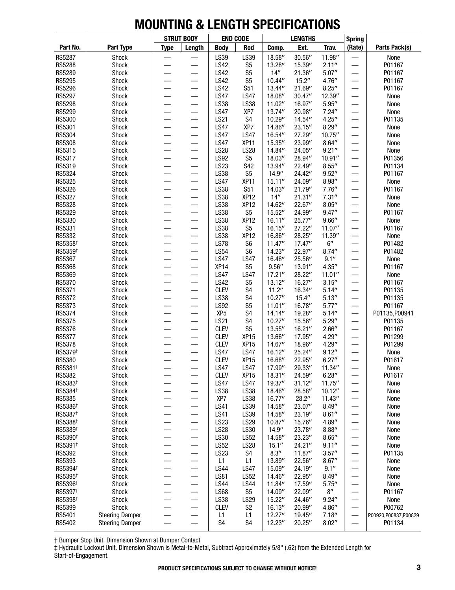|                               |                        |                          | <b>STRUT BODY</b>        | <b>END CODE</b>            |                                 |                  | <b>LENGTHS</b>   |                    | <b>Spring</b>            |                        |
|-------------------------------|------------------------|--------------------------|--------------------------|----------------------------|---------------------------------|------------------|------------------|--------------------|--------------------------|------------------------|
| Part No.                      | Part Type              | <b>Type</b>              | Length                   | <b>Body</b>                | Rod                             | Comp.            | Ext.             | Trav.              | (Rate)                   | Parts Pack(s)          |
| <b>RS5287</b>                 | Shock                  |                          |                          | LS39                       | LS39                            | 18.58"           | 30.56"           | 11.98"             |                          | None                   |
| <b>RS5288</b>                 | Shock                  | $\overline{\phantom{0}}$ |                          | <b>LS42</b>                | S <sub>5</sub>                  | 13.28"           | 15.39"           | 2.11''             | —                        | P01167                 |
| RS5289                        | Shock                  | —                        | —                        | <b>LS42</b>                | S <sub>5</sub>                  | 14"              | 21.36"           | 5.07''             | —                        | P01167                 |
| RS5295                        | Shock                  |                          |                          | <b>LS42</b>                | S <sub>5</sub>                  | 10.44''          | 15.2"            | 4.76"              | —                        | P01167                 |
| <b>RS5296</b>                 | Shock                  |                          |                          | <b>LS42</b>                | <b>S51</b>                      | 13.44"           | 21.69"           | 8.25''             | —                        | P01167                 |
| RS5297                        | Shock                  |                          |                          | <b>LS47</b>                | <b>LS47</b>                     | 18.08"           | 30.47"           | 12.39"             |                          | None                   |
| <b>RS5298</b>                 | Shock                  |                          |                          | LS38                       | LS38                            | 11.02"           | 16.97"           | 5.95''             |                          | None                   |
| RS5299                        | Shock                  |                          |                          | <b>LS47</b>                | XP7                             | 13.74"           | 20.98"           | 7.24''             | —                        | None                   |
| RS5300                        | Shock                  | $\overline{\phantom{0}}$ | —                        | <b>LS21</b>                | S4                              | 10.29"           | 14.54"           | 4.25''             | —                        | P01135                 |
| RS5301                        | Shock                  | $\overline{\phantom{0}}$ | $\overline{\phantom{0}}$ | <b>LS47</b>                | XP7                             | 14.86"           | 23.15"           | 8.29''             | —                        | None                   |
| RS5304<br><b>RS5308</b>       | Shock                  |                          |                          | <b>LS47</b>                | <b>LS47</b>                     | 16.54"           | 27.29"           | 10.75"             | —                        | None                   |
|                               | Shock                  |                          | $\overline{\phantom{0}}$ | <b>LS47</b><br><b>LS28</b> | XP <sub>11</sub><br><b>LS28</b> | 15.35"<br>14.84" | 23.99"<br>24.05" | 8.64''<br>9.21''   | —                        | None                   |
| RS5315<br>RS5317              | Shock<br>Shock         |                          |                          | <b>LS92</b>                | S <sub>5</sub>                  | 18.03"           | 28.94"           | 10.91''            | —                        | None<br>P01356         |
| RS5319                        | Shock                  | ÷                        |                          | <b>LS23</b>                | S42                             | 13.94"           | 22.49"           | 8.55''             | —<br>—                   | P01134                 |
| RS5324                        | Shock                  |                          |                          | LS38                       | S <sub>5</sub>                  | 14.9''           | 24.42"           | 9.52''             | $\overline{\phantom{0}}$ | P01167                 |
| RS5325                        | Shock                  | $\overline{\phantom{0}}$ | $\overline{\phantom{0}}$ | <b>LS47</b>                | XP <sub>11</sub>                | 15.11''          | 24.09"           | 8.98''             | —                        | None                   |
| RS5326                        | Shock                  |                          |                          | LS38                       | <b>S51</b>                      | 14.03"           | 21.79"           | 7.76''             | —                        | P01167                 |
| RS5327                        | Shock                  |                          |                          | LS38                       | XP12                            | 14"              | 21.31''          | 7.31''             | —                        | None                   |
| <b>RS5328</b>                 | Shock                  |                          | —                        | LS38                       | XP <sub>12</sub>                | 14.62"           | 22.67"           | 8.05''             | —                        | None                   |
| RS5329                        | Shock                  |                          |                          | LS38                       | S <sub>5</sub>                  | 15.52"           | 24.99"           | 9.47''             |                          | P01167                 |
| RS5330                        | Shock                  |                          |                          | LS38                       | XP <sub>12</sub>                | 16.11''          | 25.77"           | 9.66''             | —                        | None                   |
| RS5331                        | Shock                  |                          |                          | LS38                       | S <sub>5</sub>                  | 16.15''          | 27.22"           | 11.07"             | —                        | P01167                 |
| RS5332                        | Shock                  |                          | —                        | LS38                       | XP <sub>12</sub>                | 16.86"           | 28.25"           | 11.39"             | —                        | None                   |
| RS5358 <sup>+</sup>           | Shock                  |                          |                          | <b>LS78</b>                | S <sub>6</sub>                  | 11.47''          | 17.47''          | 6''                | —                        | P01482                 |
| RS5359 <sup>+</sup>           | Shock                  |                          |                          | <b>LS54</b>                | S <sub>6</sub>                  | 14.23"           | 22.97"           | 8.74''             | —                        | P01482                 |
| RS5367                        | Shock                  |                          |                          | <b>LS47</b>                | <b>LS47</b>                     | 16.46"           | 25.56"           | 9.1''              | —<br>—                   | None                   |
| RS5368                        | Shock                  |                          |                          | XP14                       | S <sub>5</sub>                  | 9.56''           | 13.91"           | 4.35''             |                          | P01167                 |
| RS5369                        | Shock                  |                          |                          | <b>LS47</b>                | <b>LS47</b>                     | 17.21''          | 28.22"           | 11.01"             | —<br>—                   | None                   |
| RS5370                        | Shock                  |                          |                          | <b>LS42</b>                | S <sub>5</sub>                  | 13.12"           | 16.27"           | 3.15''             | —<br>—                   | P01167                 |
| RS5371                        | Shock                  | —                        | —                        | <b>CLEV</b>                | S <sub>4</sub>                  | 11.2"            | 16.34"           | 5.14''             | —                        | P01135                 |
| RS5372                        | Shock                  |                          | —                        | LS38                       | S <sub>4</sub>                  | 10.27''          | 15.4''           | 5.13''             | —                        | P01135                 |
| RS5373                        | Shock                  |                          |                          | <b>LS92</b>                | S <sub>5</sub>                  | 11.01''          | 16.78"           | 5.77''             | —                        | P01167                 |
| RS5374                        | Shock                  |                          |                          | XP <sub>5</sub>            | S <sub>4</sub>                  | 14.14"           | 19.28"           | 5.14''             | —                        | P01135, P00941         |
| RS5375                        | Shock                  |                          |                          | <b>LS21</b>                | S <sub>4</sub>                  | 10.27''          | 15.56"           | 5.29''             |                          | P01135                 |
| RS5376                        | Shock                  |                          |                          | <b>CLEV</b>                | S <sub>5</sub>                  | 13.55"           | 16.21''          | 2.66''             | —                        | P01167                 |
| RS5377                        | Shock                  | —                        |                          | <b>CLEV</b>                | XP <sub>15</sub>                | 13.66"           | 17.95"           | 4.29"              | —                        | P01299                 |
| RS5378<br>RS5379 <sup>+</sup> | Shock                  |                          |                          | <b>CLEV</b><br><b>LS47</b> | XP <sub>15</sub><br><b>LS47</b> | 14.67"<br>16.12" | 18.96"<br>25.24" | 4.29''<br>9.12''   | $\overline{\phantom{0}}$ | P01299<br>None         |
| <b>RS5380</b>                 | Shock<br>Shock         |                          |                          | <b>CLEV</b>                | XP <sub>15</sub>                | 16.68"           | 22.95"           | 6.27''             |                          | P01617                 |
| RS5381 <sup>+</sup>           | Shock                  |                          |                          | <b>LS47</b>                | <b>LS47</b>                     | 17.99"           | 29.33"           | 11.34''            | —                        | None                   |
| RS5382                        | Shock                  |                          |                          | <b>CLEV</b>                | XP <sub>15</sub>                | 18.31''          | 24.59"           | 6.28''             |                          | P01617                 |
| RS5383 <sup>+</sup>           | Shock                  |                          | —                        | <b>LS47</b>                | <b>LS47</b>                     | 19.37"           | 31.12''          | 11.75''            |                          | None                   |
| RS5384 <sup>+</sup>           | Shock                  |                          | $\overline{\phantom{0}}$ | LS38                       | LS38                            | 18.46"           | 28.58"           | 10.12"             | —                        | None                   |
| RS5385                        | Shock                  |                          |                          | XP7                        | LS38                            | 16.77"           | 28.2"            | 11.43"             |                          | None                   |
| RS5386 <sup>+</sup>           | Shock                  | —                        | —                        | <b>LS41</b>                | LS39                            | 14.58"           | 23.07"           | 8.49''             |                          | None                   |
| RS5387 <sup>+</sup>           | Shock                  | —                        | —                        | <b>LS41</b>                | LS39                            | 14.58"           | 23.19"           | 8.61''             | —                        | None                   |
| RS5388 <sup>+</sup>           | Shock                  |                          | —                        | <b>LS23</b>                | <b>LS29</b>                     | 10.87"           | 15.76"           | 4.89"              |                          | None                   |
| RS5389 <sup>+</sup>           | Shock                  |                          | $\overline{\phantom{0}}$ | <b>LS28</b>                | LS30                            | 14.9''           | 23.78"           | 8.88''             |                          | None                   |
| RS5390 <sup>+</sup>           | Shock                  |                          | $\overline{\phantom{0}}$ | LS30                       | <b>LS52</b>                     | 14.58"           | 23.23"           | 8.65''             | $\overline{\phantom{0}}$ | None                   |
| RS5391 <sup>+</sup>           | Shock                  |                          |                          | <b>LS52</b>                | <b>LS28</b>                     | 15.1''           | 24.21''          | 9.11''             |                          | None                   |
| RS5392                        | Shock                  |                          | —                        | LS23                       | S4                              | 8.3''            | 11.87''          | 3.57''             |                          | P01135                 |
| RS5393                        | Shock                  | —                        | —                        | L1                         | L1                              | 13.89"           | 22.56"           | 8.67''             |                          | None                   |
| RS5394 <sup>+</sup>           | Shock                  | —                        | —                        | <b>LS44</b>                | <b>LS47</b>                     | 15.09"           | 24.19"           | 9.1''              | —                        | None                   |
| RS5395 <sup>+</sup>           | Shock                  | —                        | —                        | <b>LS81</b>                | <b>LS52</b>                     | 14.46"           | 22.95"           | 8.49''             | —                        | None                   |
| RS5396 <sup>+</sup>           | Shock                  |                          | $\overline{\phantom{0}}$ | <b>LS44</b>                | <b>LS44</b>                     | 11.84"           | 17.59"           | 5.75''             |                          | None                   |
| RS5397 <sup>+</sup>           | Shock                  |                          | $\overline{\phantom{0}}$ | <b>LS68</b>                | S <sub>5</sub>                  | 14.09"           | 22.09"           | $8^{\prime\prime}$ |                          | P01167                 |
| RS5398 <sup>+</sup>           | Shock                  |                          |                          | LS38                       | <b>LS29</b>                     | 15.22"           | 24.46"           | 9.24''             | —                        | None                   |
| RS5399                        | Shock                  |                          | —                        | <b>CLEV</b>                | S <sub>2</sub>                  | 16.13''          | 20.99"           | 4.86"              | —                        | P00762                 |
| RS5401                        | <b>Steering Damper</b> |                          | —                        | L1                         | L1                              | 12.27''          | 19.45"           | 7.18''             |                          | P00920, P00837, P00829 |
| RS5402                        | <b>Steering Damper</b> | —                        | $\qquad \qquad$          | S4                         | S <sub>4</sub>                  | 12.23"           | 20.25"           | 8.02''             | $\overline{\phantom{0}}$ | P01134                 |

† Bumper Stop Unit. Dimension Shown at Bumper Contact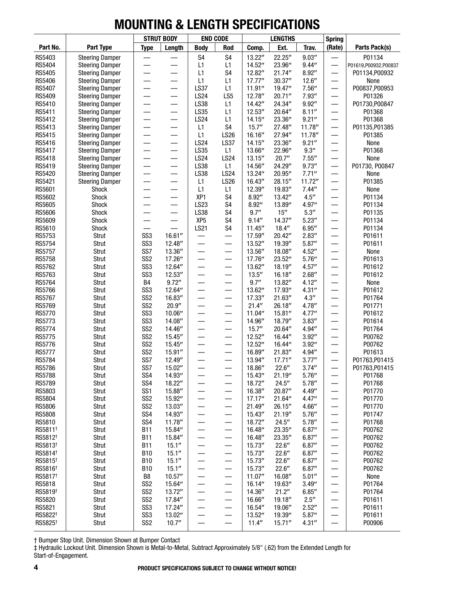|                         |                                                  |                                    | <b>STRUT BODY</b> | <b>END CODE</b>     |                                   |                   | <b>LENGTHS</b>    |                      | <b>Spring</b>            |                          |
|-------------------------|--------------------------------------------------|------------------------------------|-------------------|---------------------|-----------------------------------|-------------------|-------------------|----------------------|--------------------------|--------------------------|
| Part No.                | Part Type                                        | <b>Type</b>                        | Length            | <b>Body</b>         | Rod                               | Comp.             | Ext.              | Trav.                | (Rate)                   | Parts Pack(s)            |
| RS5403                  | <b>Steering Damper</b>                           |                                    |                   | S <sub>4</sub>      | S <sub>4</sub>                    | 13.22"            | 22.25"            | 9.03''               |                          | P01134                   |
| RS5404                  | <b>Steering Damper</b>                           |                                    |                   | L1                  | L1                                | 14.52"            | 23.96"            | 9.44''               | —                        | P01619,P00932,P00837     |
| RS5405                  | <b>Steering Damper</b>                           |                                    |                   | L1                  | S <sub>4</sub>                    | 12.82"            | 21.74"            | 8.92''               |                          | P01134, P00932           |
| RS5406                  | <b>Steering Damper</b>                           |                                    |                   | L1                  | L1                                | 17.77''           | 30.37''           | 12.6''               | —                        | None                     |
| RS5407                  | <b>Steering Damper</b>                           |                                    |                   | <b>LS37</b>         | L1                                | 11.91''           | 19.47"            | 7.56''               | —                        | P00837, P00953           |
| RS5409                  | <b>Steering Damper</b>                           |                                    |                   | <b>LS24</b><br>LS38 | LS5                               | 12.78"            | 20.71''           | 7.93''               | $\overline{\phantom{0}}$ | P01326                   |
| RS5410<br>RS5411        | <b>Steering Damper</b>                           | —                                  | —                 | LS35                | L1<br>L1                          | 14.42"<br>12.53'' | 24.34"<br>20.64"  | 9.92''<br>8.11''     |                          | P01730, P00847<br>P01368 |
| RS5412                  | <b>Steering Damper</b><br><b>Steering Damper</b> |                                    | —<br>—            | <b>LS24</b>         | L1                                | 14.15''           | 23.36"            | 9.21''               | —<br>—                   | P01368                   |
| RS5413                  | <b>Steering Damper</b>                           |                                    |                   | L1                  | S <sub>4</sub>                    | 15.7''            | 27.48"            | 11.78"               | $\overline{\phantom{0}}$ | P01135, P01385           |
| RS5415                  | <b>Steering Damper</b>                           |                                    | $\equiv$          | L1                  | <b>LS26</b>                       | 16.16"            | 27.94"            | 11.78"               | $\overline{\phantom{0}}$ | P01385                   |
| RS5416                  | <b>Steering Damper</b>                           |                                    |                   | <b>LS24</b>         | <b>LS37</b>                       | 14.15''           | 23.36"            | 9.21''               | —                        | None                     |
| RS5417                  | <b>Steering Damper</b>                           |                                    |                   | LS35                | L1                                | 13.66"            | 22.96"            | $9.3^{\prime\prime}$ |                          | P01368                   |
| RS5418                  | <b>Steering Damper</b>                           |                                    |                   | <b>LS24</b>         | <b>LS24</b>                       | 13.15''           | 20.7''            | 7.55''               |                          | None                     |
| RS5419                  | <b>Steering Damper</b>                           | —                                  | —                 | <b>LS38</b>         | L1                                | 14.56"            | 24.29"            | 9.73''               | —                        | P01730, P00847           |
| RS5420                  | <b>Steering Damper</b>                           | —                                  | —                 | LS38                | <b>LS24</b>                       | 13.24"            | 20.95"            | 7.71''               | —                        | None                     |
| RS5421                  | <b>Steering Damper</b>                           |                                    |                   | L1                  | <b>LS26</b>                       | 16.43"            | 28.15"            | 11.72"               | —                        | P01385                   |
| RS5601                  | Shock                                            |                                    |                   | L1                  | L1                                | 12.39"            | 19.83"            | 7.44''               | $\overline{\phantom{0}}$ | None                     |
| RS5602                  | Shock                                            |                                    |                   | XP <sub>1</sub>     | S <sub>4</sub>                    | 8.92''            | 13.42"            | 4.5''                |                          | P01134                   |
| RS5605                  | Shock                                            |                                    |                   | LS23                | S <sub>4</sub>                    | 8.92''            | 13.89"            | 4.97"                |                          | P01134                   |
| RS5606                  | Shock                                            |                                    |                   | LS38                | S <sub>4</sub>                    | 9.7''             | 15''              | 5.3''                |                          | P01135                   |
| RS5609                  | Shock                                            |                                    | $\qquad \qquad$   | XP <sub>5</sub>     | S <sub>4</sub>                    | 9.14''            | 14.37"            | 5.23''               | —                        | P01134                   |
| RS5610                  | <b>Shock</b>                                     |                                    |                   | <b>LS21</b>         | S <sub>4</sub>                    | 11.45''           | 18.4''            | 6.95''               | —                        | P01134                   |
| RS5753                  | Strut                                            | SS <sub>3</sub>                    | 16.61''           |                     | —                                 | 17.59"            | 20.42"            | 2.83''               |                          | P01611                   |
| <b>RS5754</b>           | Strut                                            | SS <sub>3</sub>                    | 12.48"            |                     | $\overline{\phantom{0}}$          | 13.52"            | 19.39"            | 5.87''               | $\equiv$                 | P01611                   |
| <b>RS5757</b>           | Strut                                            | SS7                                | 13.36"            |                     | —                                 | 13.56"            | 18.08"            | 4.52''               |                          | None                     |
| <b>RS5758</b>           | Strut                                            | SS <sub>2</sub>                    | 17.26"            |                     |                                   | 17.76"            | 23.52"            | 5.76''               |                          | P01613                   |
| RS5762<br>RS5763        | Strut<br>Strut                                   | SS <sub>3</sub><br>SS <sub>3</sub> | 12.64"<br>12.53"  |                     |                                   | 13.62"<br>13.5''  | 18.19"<br>16.18"  | 4.57''<br>2.68''     | —                        | P01612<br>P01612         |
| RS5764                  | Strut                                            | B4                                 | 9.72''            | —<br>—              | —<br>—                            | 9.7''             | 13.82"            | 4.12''               | —                        | None                     |
| RS5766                  | Strut                                            | SS <sub>3</sub>                    | 12.64"            |                     | —                                 | 13.62"            | 17.93"            | 4.31''               |                          | P01612                   |
| <b>RS5767</b>           | Strut                                            | SS <sub>2</sub>                    | 16.83"            |                     | —                                 | 17.33"            | 21.63"            | 4.3''                |                          | P01764                   |
| <b>RS5769</b>           | Strut                                            | SS <sub>2</sub>                    | 20.9''            |                     | —                                 | 21.4"             | 26.18"            | 4.78"                |                          | P01771                   |
| <b>RS5770</b>           | Strut                                            | SS <sub>3</sub>                    | 10.06"            |                     |                                   | 11.04"            | 15.81''           | 4.77''               |                          | P01612                   |
| RS5773                  | Strut                                            | SS <sub>3</sub>                    | 14.08"            |                     | $\overline{\phantom{0}}$          | 14.96"            | 18.79"            | 3.83''               |                          | P01614                   |
| <b>RS5774</b>           | Strut                                            | SS <sub>2</sub>                    | 14.46"            |                     | —                                 | 15.7''            | 20.64"            | 4.94"                | $\overline{\phantom{0}}$ | P01764                   |
| <b>RS5775</b>           | Strut                                            | SS <sub>2</sub>                    | 15.45"            | —                   | —                                 | 12.52"            | 16.44"            | 3.92''               | $\overline{\phantom{0}}$ | P00762                   |
| <b>RS5776</b>           | Strut                                            | SS <sub>2</sub>                    | 15.45"            | —                   | $\qquad \qquad$                   | 12.52"            | 16.44"            | 3.92''               | $\overline{\phantom{0}}$ | P00762                   |
| <b>RS5777</b>           | Strut                                            | SS <sub>2</sub>                    | 15.91''           |                     | —                                 | 16.89"            | 21.83"            | 4.94"                | $\overline{\phantom{0}}$ | P01613                   |
| RS5784                  | Strut                                            | SS7                                | 12.49"            |                     | $\overbrace{\phantom{123221111}}$ | 13.94"            | 17.71''           | 3.77''               | —                        | P01763, P01415           |
| RS5786                  | Strut                                            | SS7                                | 15.02"            |                     |                                   | 18.86"            | 22.6''            | 3.74''               |                          | P01763, P01415           |
| <b>RS5788</b>           | Strut                                            | SS <sub>4</sub>                    | 14.93"            |                     |                                   | 15.43"            | 21.19"            | 5.76''               |                          | P01768                   |
| <b>RS5789</b>           | Strut                                            | SS4                                | 18.22"            |                     | —                                 | 18.72"            | 24.5''            | 5.78''               |                          | P01768                   |
| RS5803                  | Strut                                            | SS <sub>1</sub>                    | 15.88"            | —                   | $\overline{\phantom{0}}$          | 16.38"            | 20.87"            | 4.49''               | —                        | P01770                   |
| RS5804                  | Strut                                            | SS <sub>2</sub><br>SS <sub>2</sub> | 15.92"            | —                   | —                                 | 17.17''           | 21.64"            | 4.47''               | $\overline{\phantom{0}}$ | P01770<br>P01770         |
| RS5806<br><b>RS5808</b> | Strut                                            | SS4                                | 13.03"<br>14.93"  | —                   | —                                 | 21.49"<br>15.43"  | 26.15"<br>21.19'' | 4.66''               |                          | P01747                   |
| RS5810                  | Strut<br>Strut                                   | SS4                                | 11.78"            | —                   | —<br>$\overline{\phantom{m}}$     | 18.72"            | 24.5''            | 5.76''<br>5.78''     |                          | P01768                   |
| RS5811 <sup>+</sup>     | Strut                                            | <b>B11</b>                         | 15.84"            | —<br>—              |                                   | 16.48"            | 23.35"            | 6.87''               |                          | P00762                   |
| RS5812 <sup>+</sup>     | Strut                                            | <b>B11</b>                         | 15.84"            | —                   |                                   | 16.48"            | 23.35"            | 6.87''               | —                        | P00762                   |
| RS5813 <sup>+</sup>     | Strut                                            | <b>B11</b>                         | 15.1''            | —                   | $\qquad \qquad \longleftarrow$    | 15.73"            | 22.6''            | 6.87''               | —                        | P00762                   |
| RS5814 <sup>+</sup>     | Strut                                            | <b>B10</b>                         | 15.1''            | —                   | $\overline{\phantom{0}}$          | 15.73"            | 22.6''            | 6.87''               | —                        | P00762                   |
| RS5815 <sup>+</sup>     | Strut                                            | <b>B10</b>                         | 15.1''            | —                   | —                                 | 15.73"            | 22.6''            | 6.87''               |                          | P00762                   |
| RS5816 <sup>+</sup>     | Strut                                            | <b>B10</b>                         | 15.1''            | —                   |                                   | 15.73"            | 22.6''            | 6.87''               |                          | P00762                   |
| RS5817 <sup>+</sup>     | Strut                                            | B8                                 | 10.57''           | —                   | $\overline{\phantom{m}}$          | 11.07''           | 16.08"            | 5.01''               | —                        | None                     |
| RS5818                  | Strut                                            | SS <sub>2</sub>                    | 15.64"            | —                   |                                   | 16.14"            | 19.63"            | 3.49''               |                          | P01764                   |
| RS5819 <sup>+</sup>     | Strut                                            | SS <sub>2</sub>                    | 13.72"            | —                   | $\overline{\phantom{m}}$          | 14.36"            | 21.2"             | 6.85''               | $\overline{\phantom{0}}$ | P01764                   |
| RS5820                  | Strut                                            | SS <sub>2</sub>                    | 17.84"            | —                   | $\qquad \qquad -$                 | 16.66"            | 19.18"            | 2.5''                | —                        | P01611                   |
| RS5821                  | Strut                                            | SS <sub>3</sub>                    | 17.24"            | —                   |                                   | 16.54"            | 19.06"            | 2.52"                | —                        | P01611                   |
| RS5822 <sup>+</sup>     | Strut                                            | SS <sub>3</sub>                    | 13.02"            | —                   | —                                 | 13.52"            | 19.39"            | 5.87''               |                          | P01611                   |
| RS5825 <sup>+</sup>     | Strut                                            | SS <sub>2</sub>                    | 10.7''            | —                   | —                                 | 11.4"             | 15.71''           | 4.31''               |                          | P00906                   |

† Bumper Stop Unit. Dimension Shown at Bumper Contact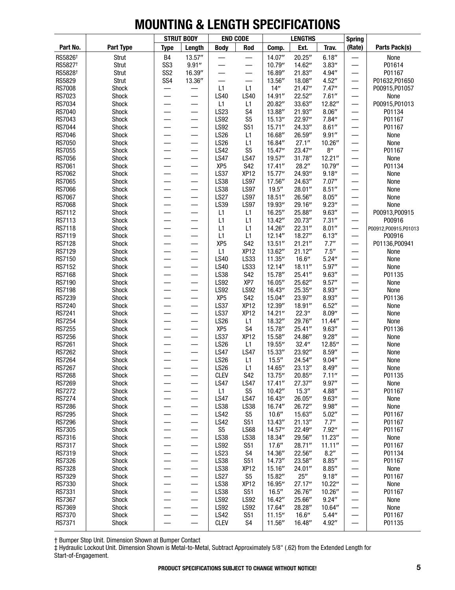|                         |                |                                                      | <b>STRUT BODY</b>        |                            | <b>END CODE</b>                  |                    | <b>LENGTHS</b>     |                    | <b>Spring</b>            |                      |
|-------------------------|----------------|------------------------------------------------------|--------------------------|----------------------------|----------------------------------|--------------------|--------------------|--------------------|--------------------------|----------------------|
| Part No.                | Part Type      | <b>Type</b>                                          | Length                   | <b>Body</b>                | Rod                              | Comp.              | Ext.               | Trav.              | (Rate)                   | Parts Pack(s)        |
| RS5826 <sup>+</sup>     | Strut          | <b>B4</b>                                            | 13.57"                   |                            |                                  | 14.07"             | 20.25"             | 6.18''             |                          | None                 |
| RS5827 <sup>+</sup>     | Strut          | SS <sub>3</sub>                                      | 9.91''                   |                            |                                  | 10.79"             | 14.62"             | 3.83''             | —                        | P01614               |
| RS5828 <sup>+</sup>     | Strut          | SS <sub>2</sub>                                      | 16.39"                   |                            | $\overline{\phantom{0}}$         | 16.89"             | 21.83"             | 4.94"              |                          | P01167               |
| RS5829                  | Strut          | SS <sub>4</sub>                                      | 13.36"                   |                            |                                  | 13.56"             | 18.08"             | 4.52''             | —                        | P01632, P01650       |
| <b>RS7008</b>           | Shock          | ÷,                                                   | $\overline{\phantom{0}}$ | L1                         | L1                               | 14''               | 21.47"             | 7.47''             | —                        | P00915, P01057       |
| RS7023                  | Shock          | $\overline{\phantom{0}}$                             | $\equiv$                 | <b>LS40</b>                | <b>LS40</b>                      | 14.91''            | 22.52"             | 7.61''             | —                        | None                 |
| RS7034                  | Shock          |                                                      | $\overline{\phantom{0}}$ | L1                         | L1                               | 20.82"             | 33.63"             | 12.82"             |                          | P00915, P01013       |
| <b>RS7040</b><br>RS7043 | Shock          |                                                      |                          | LS23<br><b>LS92</b>        | S <sub>4</sub><br>S <sub>5</sub> | 13.88"             | 21.93"             | 8.06''             | —                        | P01134               |
| <b>RS7044</b>           | Shock<br>Shock |                                                      |                          | <b>LS92</b>                | S51                              | 15.13"<br>15.71''  | 22.97"<br>24.33"   | 7.84''<br>8.61''   | —                        | P01167<br>P01167     |
| <b>RS7046</b>           | Shock          |                                                      |                          | <b>LS26</b>                | L1                               | 16.68"             | 26.59"             | 9.91''             |                          | None                 |
| <b>RS7050</b>           | Shock          |                                                      |                          | LS26                       | L1                               | 16.84"             | 27.1"              | 10.26"             | —                        | None                 |
| <b>RS7055</b>           | Shock          | —                                                    | $\overline{\phantom{0}}$ | <b>LS42</b>                | S <sub>5</sub>                   | 15.47"             | 23.47"             | $8^{\prime\prime}$ | $\overline{\phantom{0}}$ | P01167               |
| <b>RS7056</b>           | Shock          | —                                                    | —                        | <b>LS47</b>                | <b>LS47</b>                      | 19.57"             | 31.78"             | 12.21''            | —                        | None                 |
| <b>RS7061</b>           | Shock          |                                                      |                          | XP <sub>5</sub>            | <b>S42</b>                       | 17.41''            | 28.2"              | 10.79"             | —                        | P01134               |
| RS7062                  | Shock          | $\overline{\phantom{0}}$                             | —                        | <b>LS37</b>                | XP <sub>12</sub>                 | 15.77''            | 24.93"             | 9.18''             | —                        | None                 |
| <b>RS7065</b>           | Shock          |                                                      | $\overline{\phantom{0}}$ | <b>LS38</b>                | <b>LS97</b>                      | 17.56"             | 24.63"             | 7.07''             |                          | None                 |
| <b>RS7066</b>           | Shock          |                                                      |                          | <b>LS38</b>                | <b>LS97</b>                      | 19.5''             | 28.01"             | 8.51''             | —                        | None                 |
| <b>RS7067</b>           | Shock          |                                                      |                          | <b>LS27</b>                | <b>LS97</b>                      | 18.51''            | 26.56"             | 8.05''             | —                        | None                 |
| <b>RS7068</b>           | Shock          | $\overline{\phantom{0}}$                             |                          | LS39                       | <b>LS97</b>                      | 19.93"             | 29.16"             | 9.23''             | $\overline{\phantom{0}}$ | None                 |
| RS7112                  | Shock          |                                                      | —                        | L1                         | L1                               | 16.25"             | 25.88"             | 9.63''             |                          | P00913, P00915       |
| RS7113                  | Shock          |                                                      |                          | L1                         | L1                               | 13.42"             | 20.73"             | 7.31''             | —                        | P00916               |
| RS7118                  | Shock          | —                                                    |                          | L1                         | L1                               | 14.26"             | 22.31"             | 8.01''             |                          | P00912,P00915,P01013 |
| RS7119                  | Shock          |                                                      | $\overline{\phantom{0}}$ | L1                         | L1                               | 12.14"             | 18.27"             | 6.13''             | —                        | P00916               |
| <b>RS7128</b>           | Shock          |                                                      |                          | XP <sub>5</sub>            | <b>S42</b>                       | 13.51''            | 21.21''            | 7.7''              |                          | P01136, P00941       |
| RS7129                  | Shock          | $\overline{\phantom{0}}$                             |                          | L1                         | XP <sub>12</sub>                 | 13.62"             | 21.12"             | 7.5''              | —                        | None                 |
| RS7150                  | Shock          | $\overline{\phantom{0}}$<br>$\overline{\phantom{0}}$ |                          | <b>LS40</b><br>LS40        | LS33<br>LS33                     | 11.35''            | 16.6''             | 5.24''<br>5.97''   | —                        | None                 |
| RS7152<br>RS7168        | Shock<br>Shock |                                                      | $\overline{\phantom{0}}$ | LS38                       | <b>S42</b>                       | 12.14"<br>15.78"   | 18.11''<br>25.41'' | 9.63''             | —<br>—                   | None<br>P01135       |
| RS7190                  | Shock          |                                                      |                          | <b>LS92</b>                | XP7                              | 16.05"             | 25.62"             | 9.57''             | —                        | None                 |
| <b>RS7198</b>           | Shock          |                                                      |                          | <b>LS92</b>                | <b>LS92</b>                      | 16.43"             | 25.35"             | 8.93''             | $\overline{\phantom{0}}$ | None                 |
| <b>RS7239</b>           | Shock          |                                                      |                          | XP <sub>5</sub>            | <b>S42</b>                       | 15.04"             | 23.97"             | 8.93''             |                          | P01136               |
| <b>RS7240</b>           | Shock          | $\overline{\phantom{0}}$                             |                          | <b>LS37</b>                | XP <sub>12</sub>                 | 12.39"             | 18.91"             | 6.52''             | —                        | None                 |
| <b>RS7241</b>           | Shock          | $\overline{\phantom{0}}$                             |                          | <b>LS37</b>                | XP <sub>12</sub>                 | 14.21''            | 22.3''             | 8.09''             | —                        | None                 |
| <b>RS7254</b>           | Shock          | $\overline{\phantom{0}}$                             | $\overline{\phantom{0}}$ | <b>LS26</b>                | L1                               | 18.32"             | 29.76"             | 11.44"             | —                        | None                 |
| <b>RS7255</b>           | Shock          | $\overline{\phantom{0}}$                             |                          | XP <sub>5</sub>            | S <sub>4</sub>                   | 15.78"             | 25.41''            | 9.63''             | —                        | P01136               |
| <b>RS7256</b>           | Shock          |                                                      |                          | <b>LS37</b>                | XP <sub>12</sub>                 | 15.58"             | 24.86"             | 9.28''             | —                        | None                 |
| <b>RS7261</b>           | Shock          |                                                      |                          | LS26                       | L1                               | 19.55"             | 32.4''             | 12.85"             | —                        | None                 |
| <b>RS7262</b>           | Shock          |                                                      |                          | <b>LS47</b>                | <b>LS47</b>                      | 15.33"             | 23.92"             | 8.59''             |                          | None                 |
| <b>RS7264</b>           | Shock          |                                                      |                          | <b>LS26</b>                | L1                               | 15.5''             | 24.54"             | 9.04''             | $\overline{\phantom{0}}$ | None                 |
| <b>RS7267</b>           | Shock          |                                                      |                          | <b>LS26</b>                | L1                               | 14.65"             | 23.13"             | 8.49''             |                          | None                 |
| <b>RS7268</b>           | Shock          |                                                      | $\overline{\phantom{0}}$ | <b>CLEV</b>                | S42                              | 13.75"             | 20.85"             | 7.11''             | —                        | P01135               |
| RS7269<br><b>RS7272</b> | Shock<br>Shock |                                                      | —                        | <b>LS47</b><br>L1          | <b>LS47</b><br>S <sub>5</sub>    | 17.41''<br>10.42'' | 27.37"<br>15.3''   | 9.97''<br>4.88"    |                          | None<br>P01167       |
| <b>RS7274</b>           | Shock          |                                                      | —                        | <b>LS47</b>                | <b>LS47</b>                      | 16.43"             | 26.05"             | 9.63''             | —                        | None                 |
| <b>RS7286</b>           | Shock          |                                                      | —                        | <b>LS38</b>                | <b>LS38</b>                      | 16.74"             | 26.72"             | 9.98''             |                          | None                 |
| <b>RS7295</b>           | Shock          |                                                      |                          | <b>LS42</b>                | S <sub>5</sub>                   | 10.6''             | 15.63"             | 5.02''             |                          | P01167               |
| <b>RS7296</b>           | Shock          |                                                      | —                        | <b>LS42</b>                | S51                              | 13.43"             | 21.13''            | 7.7''              |                          | P01167               |
| RS7305                  | Shock          |                                                      |                          | S <sub>5</sub>             | <b>LS68</b>                      | 14.57"             | 22.49"             | 7.92"              |                          | P01167               |
| RS7316                  | Shock          |                                                      | —                        | LS38                       | LS38                             | 18.34"             | 29.56"             | 11.23''            | —                        | None                 |
| <b>RS7317</b>           | Shock          | —                                                    | —                        | <b>LS92</b>                | S51                              | 17.6''             | 28.71"             | 11.11''            | —                        | P01167               |
| RS7319                  | Shock          |                                                      | —                        | LS23                       | S4                               | 14.36"             | 22.56"             | 8.2''              | —                        | P01134               |
| RS7326                  | Shock          | $\overline{\phantom{0}}$                             | —                        | LS38                       | S51                              | 14.73"             | 23.58"             | 8.85''             | —                        | P01167               |
| <b>RS7328</b>           | Shock          |                                                      | —                        | LS38                       | XP <sub>12</sub>                 | 15.16"             | 24.01"             | 8.85''             |                          | None                 |
| RS7329                  | Shock          | —                                                    | —                        | <b>LS27</b>                | S <sub>5</sub>                   | 15.82"             | 25''               | 9.18''             | —                        | P01167               |
| RS7330                  | Shock          |                                                      | —                        | <b>LS38</b>                | XP <sub>12</sub>                 | 16.95"             | 27.17"             | 10.22"             |                          | None                 |
| RS7331                  | Shock          |                                                      | —                        | LS38                       | S51                              | 16.5''             | 26.76"             | 10.26"             |                          | P01167               |
| RS7367                  | Shock          | —<br>—                                               | —                        | <b>LS92</b>                | <b>LS92</b>                      | 16.42"             | 25.66"             | 9.24''             | —                        | None                 |
| RS7369                  | Shock          |                                                      | —                        | LS92                       | <b>LS92</b>                      | 17.64"             | 28.28"             | 10.64"             | —                        | None                 |
| <b>RS7370</b><br>RS7371 | Shock<br>Shock | $\overline{\phantom{0}}$                             | —                        | <b>LS42</b><br><b>CLEV</b> | S51<br>S4                        | 11.15''<br>11.56"  | 16.6''<br>16.48"   | 5.44''<br>4.92"    | —                        | P01167<br>P01135     |
|                         |                |                                                      |                          |                            |                                  |                    |                    |                    |                          |                      |

† Bumper Stop Unit. Dimension Shown at Bumper Contact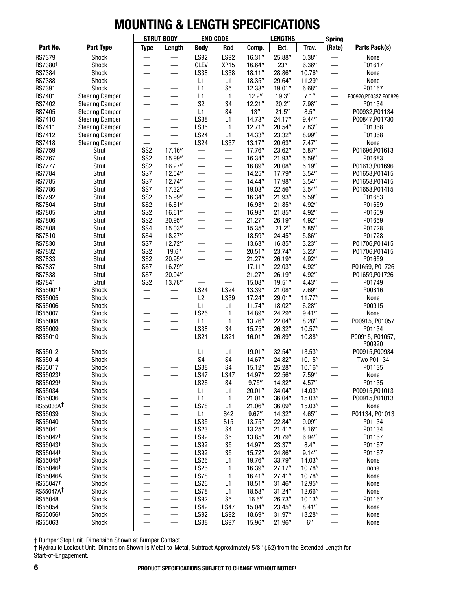|                                 |                        |                                    | <b>STRUT BODY</b>                 |                          | <b>END CODE</b>          |                  | <b>LENGTHS</b>   |                    | <b>Spring</b>            |                                  |
|---------------------------------|------------------------|------------------------------------|-----------------------------------|--------------------------|--------------------------|------------------|------------------|--------------------|--------------------------|----------------------------------|
| Part No.                        | Part Type              | <b>Type</b>                        | Length                            | <b>Body</b>              | Rod                      | Comp.            | Ext.             | Trav.              | (Rate)                   | Parts Pack(s)                    |
| <b>RS7379</b>                   | Shock                  |                                    |                                   | <b>LS92</b>              | <b>LS92</b>              | 16.31''          | 25.88"           | 0.38''             |                          | None                             |
| RS7380 <sup>+</sup>             | Shock                  |                                    |                                   | <b>CLEV</b>              | XP <sub>15</sub>         | 16.64"           | 23''             | 6.36''             |                          | P01617                           |
| RS7384                          | Shock                  | —                                  | —                                 | <b>LS38</b>              | LS38                     | 18.11''          | 28.86"           | 10.76"             | —                        | None                             |
| <b>RS7388</b>                   | Shock                  |                                    |                                   | L1                       | L1                       | 18.35"           | 29.64"           | 11.29"             | $\overline{\phantom{0}}$ | None                             |
| RS7391                          | Shock                  |                                    | —                                 | L1                       | S <sub>5</sub>           | 12.33''          | 19.01''          | 6.68''             |                          | P01167                           |
| <b>RS7401</b>                   | <b>Steering Damper</b> |                                    |                                   | L1                       | L1                       | 12.2"            | 19.3''           | 7.1''              |                          | P00920,P00837,P00829             |
| RS7402                          | <b>Steering Damper</b> |                                    | —                                 | S <sub>2</sub>           | S4                       | 12.21''          | 20.2"            | 7.98"              |                          | P01134                           |
| <b>RS7405</b>                   | <b>Steering Damper</b> |                                    |                                   | L1                       | S <sub>4</sub>           | 13''             | 21.5''           | 8.5''              | $\overline{\phantom{0}}$ | P00932, P01134                   |
| RS7410                          | <b>Steering Damper</b> |                                    | —                                 | LS38                     | L1                       | 14.73"           | 24.17"           | 9.44''             | $\overline{\phantom{0}}$ | P00847, P01730                   |
| RS7411                          | <b>Steering Damper</b> |                                    | —                                 | LS35                     | L1                       | 12.71''          | 20.54"           | 7.83''             | —                        | P01368                           |
| RS7412                          | <b>Steering Damper</b> |                                    | —                                 | <b>LS24</b>              | L1                       | 14.33"           | 23.32"           | 8.99''             | —                        | P01368                           |
| RS7418                          | <b>Steering Damper</b> |                                    |                                   | <b>LS24</b>              | <b>LS37</b>              | 13.17''          | 20.63"           | 7.47''             |                          | None                             |
| <b>RS7759</b>                   | Strut                  | SS <sub>2</sub>                    | 17.16"                            |                          |                          | 17.76"           | 23.62"           | 5.87''             | $\overline{\phantom{0}}$ | P01696, P01613                   |
| <b>RS7767</b>                   | Strut                  | SS <sub>2</sub><br>SS <sub>2</sub> | 15.99"                            |                          |                          | 16.34"           | 21.93"           | 5.59''             |                          | P01683                           |
| <b>RS7777</b>                   | Strut                  | SS7                                | 16.27"                            |                          | —                        | 16.89"           | 20.08"           | 5.19''             | $\qquad \qquad$          | P01613, P01696                   |
| <b>RS7784</b><br><b>RS7785</b>  | Strut<br>Strut         | SS7                                | 12.54"<br>12.74"                  | —<br>—                   | —                        | 14.25"<br>14.44" | 17.79"<br>17.98" | 3.54''<br>3.54''   | $\qquad \qquad$          | P01658, P01415<br>P01658, P01415 |
| <b>RS7786</b>                   | Strut                  | SS7                                | 17.32"                            | $\overline{\phantom{0}}$ | $\overline{\phantom{0}}$ | 19.03"           | 22.56"           | 3.54''             | $\overline{\phantom{0}}$ | P01658, P01415                   |
| <b>RS7792</b>                   | Strut                  | SS <sub>2</sub>                    | 15.99"                            | —                        | $\overline{\phantom{0}}$ | 16.34"           | 21.93"           | 5.59''             |                          | P01683                           |
| <b>RS7804</b>                   | Strut                  | SS <sub>2</sub>                    | 16.61''                           |                          | —                        | 16.93"           | 21.85"           | 4.92"              |                          | P01659                           |
| <b>RS7805</b>                   | Strut                  | SS <sub>2</sub>                    | 16.61''                           |                          |                          | 16.93"           | 21.85"           | 4.92"              |                          | P01659                           |
| <b>RS7806</b>                   | Strut                  | SS <sub>2</sub>                    | 20.95"                            | $\overline{\phantom{0}}$ | —                        | 21.27''          | 26.19"           | 4.92"              | $\qquad \qquad$          | P01659                           |
| <b>RS7808</b>                   | Strut                  | SS <sub>4</sub>                    | 15.03"                            | —                        |                          | 15.35"           | 21.2"            | 5.85''             | $\overline{\phantom{0}}$ | P01728                           |
| RS7810                          | Strut                  | SS <sub>4</sub>                    | 18.27"                            | $\overline{\phantom{0}}$ | —                        | 18.59"           | 24.45"           | 5.86''             | $\overline{\phantom{0}}$ | P01728                           |
| RS7830                          | Strut                  | SS7                                | 12.72"                            |                          | —                        | 13.63"           | 16.85"           | 3.23''             | $\overline{\phantom{0}}$ | P01706, P01415                   |
| RS7832                          | Strut                  | SS <sub>2</sub>                    | 19.6''                            |                          | —                        | 20.51''          | 23.74"           | 3.23''             | $\qquad \qquad$          | P01706, P01415                   |
| RS7833                          | Strut                  | SS <sub>2</sub>                    | 20.95"                            |                          |                          | 21.27''          | 26.19"           | 4.92"              |                          | P01659                           |
| <b>RS7837</b>                   | Strut                  | SS7                                | 16.79"                            |                          |                          | 17.11''          | 22.03"           | 4.92"              |                          | P01659, P01726                   |
| <b>RS7838</b>                   | Strut                  | SS7                                | 20.94"                            | $\overline{\phantom{0}}$ | $\qquad \qquad$          | 21.27''          | 26.19"           | 4.92"              | $\qquad \qquad$          | P01659, P01726                   |
| <b>RS7841</b>                   | Strut                  | SS <sub>2</sub>                    | 13.78"                            |                          |                          | 15.08"           | 19.51''          | 4.43''             | —                        | P01749                           |
| RS55001 <sup>+</sup>            | Shock                  |                                    |                                   | <b>LS24</b>              | <b>LS24</b>              | 13.39"           | 21.08"           | 7.69"              |                          | P00816                           |
| RS55005                         | Shock                  |                                    |                                   | L2                       | LS39                     | 17.24"           | 29.01"           | 11.77''            | $\overline{\phantom{0}}$ | None                             |
| RS55006                         | Shock                  |                                    | —                                 | L1                       | L1                       | 11.74''          | 18.02"           | 6.28''             | $\overline{\phantom{0}}$ | P00915                           |
| RS55007                         | Shock                  |                                    | $\overline{\phantom{0}}$          | <b>LS26</b>              | L1                       | 14.89"           | 24.29"           | 9.41''             |                          | None                             |
| RS55008                         | Shock                  |                                    |                                   | L1                       | L1                       | 13.76"           | 22.04"           | 8.28''             |                          | P00915, P01057                   |
| RS55009                         | Shock                  |                                    |                                   | <b>LS38</b>              | S <sub>4</sub>           | 15.75"           | 26.32"           | 10.57''            |                          | P01134                           |
| RS55010                         | Shock                  |                                    | —                                 | LS21                     | LS21                     | 16.01''          | 26.89"           | 10.88"             | $\overline{\phantom{0}}$ | P00915, P01057,                  |
|                                 |                        |                                    |                                   |                          |                          |                  |                  |                    |                          | P00920                           |
| RS55012                         | Shock                  |                                    |                                   | L1                       | L1<br>S4                 | 19.01''          | 32.54"           | 13.53"<br>10.15''  |                          | P00915,P00934                    |
| RS55014                         | Shock                  |                                    |                                   | S4<br>LS38               | S4                       | 14.67"           | 24.82"           | 10.16''            |                          | Two P01134                       |
| RS55017<br>RS55023 <sup>+</sup> | Shock<br>Shock         |                                    |                                   | <b>LS47</b>              | <b>LS47</b>              | 15.12"<br>14.97" | 25.28"<br>22.56" | 7.59''             |                          | P01135<br>None                   |
| RS55029 <sup>+</sup>            | Shock                  |                                    | —                                 | <b>LS26</b>              | S <sub>4</sub>           | 9.75''           | 14.32"           | 4.57''             | $\overline{\phantom{0}}$ | P01135                           |
| RS55034                         | Shock                  |                                    | —                                 | L1                       | L1                       | 20.01''          | 34.04"           | 14.03"             |                          | P00915, P01013                   |
| RS55036                         | Shock                  |                                    | —                                 | L1                       | L1                       | 21.01"           | 36.04"           | 15.03"             |                          | P00915, P01013                   |
| RS55036AT                       | <b>Shock</b>           |                                    | $\overline{\phantom{0}}$          | <b>LS78</b>              | L1                       | 21.06"           | 36.09"           | 15.03"             |                          | None                             |
| RS55039                         | <b>Shock</b>           |                                    | $\overline{\phantom{0}}$          | L1                       | S42                      | 9.67''           | 14.32"           | 4.65''             |                          | P01134, P01013                   |
| RS55040                         | <b>Shock</b>           |                                    | —                                 | <b>LS35</b>              | <b>S15</b>               | 13.75"           | 22.84"           | 9.09''             |                          | P01134                           |
| RS55041                         | Shock                  |                                    | $\qquad \qquad$                   | <b>LS23</b>              | S4                       | 13.25"           | 21.41''          | 8.16''             |                          | P01134                           |
| RS55042 <sup>+</sup>            | Shock                  |                                    | —                                 | <b>LS92</b>              | S <sub>5</sub>           | 13.85"           | 20.79"           | 6.94''             |                          | P01167                           |
| RS55043 <sup>+</sup>            | Shock                  |                                    | —                                 | <b>LS92</b>              | S <sub>5</sub>           | 14.97"           | 23.37"           | 8.4''              | $\overline{\phantom{0}}$ | P01167                           |
| RS55044 <sup>+</sup>            | Shock                  | —                                  | —                                 | <b>LS92</b>              | S <sub>5</sub>           | 15.72"           | 24.86"           | 9.14''             | —                        | P01167                           |
| RS55045 <sup>+</sup>            | <b>Shock</b>           |                                    | $\qquad \qquad \longleftarrow$    | <b>LS26</b>              | L1                       | 19.76"           | 33.79"           | 14.03"             |                          | None                             |
| RS55046 <sup>+</sup>            | <b>Shock</b>           |                                    |                                   | <b>LS26</b>              | L1                       | 16.39"           | 27.17"           | 10.78"             |                          | none                             |
| <b>RS55046A</b>                 | Shock                  |                                    | —                                 | <b>LS78</b>              | L1                       | 16.41''          | 27.41"           | 10.78"             |                          | None                             |
| RS55047 <sup>+</sup>            | Shock                  |                                    | —                                 | <b>LS26</b>              | L1                       | 18.51''          | 31.46"           | 12.95"             |                          | None                             |
| RS55047AT                       | Shock                  |                                    | —                                 | <b>LS78</b>              | L1                       | 18.58"           | 31.24"           | 12.66"             |                          | None                             |
| RS55048                         | Shock                  |                                    | —                                 | <b>LS92</b>              | S <sub>5</sub>           | 16.6''           | 26.73"           | 10.13''            |                          | P01167                           |
| RS55054                         | Shock                  | $\overline{\phantom{0}}$           |                                   | <b>LS42</b>              | <b>LS47</b>              | 15.04"           | 23.45"           | 8.41''             | —                        | None                             |
| RS55056 <sup>+</sup>            | Shock                  |                                    | —                                 | <b>LS92</b>              | LS92                     | 18.69"           | 31.97''          | 13.28"             |                          | None                             |
| RS55063                         | Shock                  |                                    | $\overbrace{\phantom{123221111}}$ | <b>LS38</b>              | <b>LS97</b>              | 15.96"           | 21.96"           | $6^{\prime\prime}$ |                          | None                             |

† Bumper Stop Unit. Dimension Shown at Bumper Contact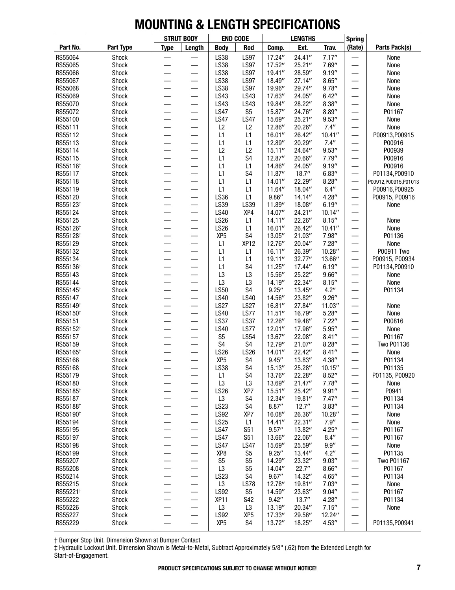|                      |                |                          | <b>STRUT BODY</b>        | <b>END CODE</b>                |                        |                   | <b>LENGTHS</b>    |                  | <b>Spring</b>            |                        |
|----------------------|----------------|--------------------------|--------------------------|--------------------------------|------------------------|-------------------|-------------------|------------------|--------------------------|------------------------|
| Part No.             | Part Type      | <b>Type</b>              | Length                   | <b>Body</b>                    | Rod                    | Comp.             | Ext.              | Trav.            | (Rate)                   | Parts Pack(s)          |
| RS55064              | Shock          |                          |                          | LS38                           | <b>LS97</b>            | 17.24"            | 24.41"            | 7.17''           |                          | None                   |
| RS55065              | Shock          |                          |                          | LS38                           | <b>LS97</b>            | 17.52"            | 25.21''           | 7.69"            | —                        | None                   |
| RS55066              | Shock          | $\overline{\phantom{0}}$ | $\overline{\phantom{0}}$ | LS38                           | <b>LS97</b>            | 19.41''           | 28.59"            | 9.19''           |                          | None                   |
| RS55067              | Shock          |                          |                          | LS38                           | <b>LS97</b>            | 18.49"            | 27.14"            | 8.65''           |                          | None                   |
| RS55068              | Shock          |                          |                          | LS38                           | <b>LS97</b>            | 19.96"            | 29.74"            | 9.78''           |                          | None                   |
| RS55069              | Shock          | $\overline{\phantom{0}}$ |                          | LS43                           | LS43                   | 17.63"            | 24.05"            | 6.42''           | $\overline{\phantom{0}}$ | None                   |
| RS55070<br>RS55072   | Shock<br>Shock |                          |                          | LS43<br><b>LS47</b>            | LS43<br>S <sub>5</sub> | 19.84"<br>15.87"  | 28.22"<br>24.76"  | 8.38''<br>8.89'' | —                        | None<br>P01167         |
| RS55100              | Shock          |                          |                          | <b>LS47</b>                    | <b>LS47</b>            | 15.69"            | 25.21''           | 9.53''           | —                        | None                   |
| RS55111              | Shock          | $\overline{\phantom{0}}$ |                          | L2                             | L2                     | 12.86"            | 20.26"            | 7.4''            |                          | None                   |
| RS55112              | Shock          |                          |                          | L1                             | L1                     | 16.01''           | 26.42"            | 10.41''          | —                        | P00913, P00915         |
| RS55113              | Shock          |                          |                          | L1                             | L1                     | 12.89"            | 20.29"            | 7.4''            |                          | P00916                 |
| RS55114              | Shock          | $\overline{\phantom{0}}$ |                          | L <sub>2</sub>                 | L2                     | 15.11''           | 24.64"            | 9.53''           | —                        | P00939                 |
| RS55115              | Shock          | $\overline{\phantom{0}}$ | $\overline{\phantom{0}}$ | L1                             | S <sub>4</sub>         | 12.87"            | 20.66"            | 7.79''           | —                        | P00916                 |
| RS55116 <sup>+</sup> | Shock          |                          |                          | L1                             | L1                     | 14.86"            | 24.05"            | 9.19''           | —                        | P00916                 |
| RS55117              | Shock          | $\overline{\phantom{0}}$ |                          | L1                             | S <sub>4</sub>         | 11.87''           | 18.7''            | 6.83''           | $\overline{\phantom{0}}$ | P01134, P00910         |
| RS55118              | Shock          | $\overline{\phantom{0}}$ | $\overline{\phantom{0}}$ | L1                             | L1                     | 14.01''           | 22.29"            | 8.28''           | —                        | P00912,P00915,P01013   |
| RS55119              | Shock          |                          |                          | L1                             | L1                     | 11.64"            | 18.04"            | 6.4''            | —                        | P00916, P00925         |
| RS55120              | Shock          |                          |                          | LS36                           | L1                     | 9.86''            | 14.14"            | 4.28''           |                          | P00915, P00916         |
| RS55123 <sup>+</sup> | Shock          | $\overline{\phantom{0}}$ | $\overline{\phantom{0}}$ | LS39                           | LS39                   | 11.89"            | 18.08"            | 6.19''           | —                        | None                   |
| RS55124              | Shock          | $\overline{\phantom{0}}$ | $\overline{\phantom{0}}$ | <b>LS40</b>                    | XP4                    | 14.07"            | 24.21"            | 10.14''          | —                        |                        |
| RS55125              | Shock          |                          |                          | <b>LS26</b>                    | L1                     | 14.11''           | 22.26"            | 8.15''           | —                        | None                   |
| RS55126 <sup>+</sup> | Shock          | $\overline{\phantom{0}}$ | —                        | <b>LS26</b>                    | L1                     | 16.01''           | 26.42"            | 10.41''          | —                        | None                   |
| RS55128 <sup>+</sup> | Shock          | $\overline{\phantom{0}}$ |                          | XP <sub>5</sub>                | S4                     | 13.05"            | 21.03"            | 7.98''           | $\overline{\phantom{0}}$ | P01136                 |
| RS55129<br>RS55132   | Shock<br>Shock |                          |                          | L1<br>L1                       | XP <sub>12</sub><br>L1 | 12.76"<br>16.11'' | 20.04"<br>26.39"  | 7.28''<br>10.28" |                          | None<br>P00911 Two     |
| RS55134              | Shock          |                          |                          | L1                             | L1                     | 19.11''           | 32.77"            | 13.66"           | —                        | P00915, P00934         |
| RS55136 <sup>+</sup> | Shock          | $\overline{\phantom{0}}$ | —                        | L1                             | S <sub>4</sub>         | 11.25''           | 17.44"            | 6.19''           | $\overline{\phantom{0}}$ | P01134, P00910         |
| RS55143              | Shock          | $\overline{\phantom{0}}$ |                          | L <sub>3</sub>                 | L <sub>3</sub>         | 15.56"            | 25.22"            | 9.66''           | —                        | None                   |
| RS55144              | Shock          | $\overline{\phantom{0}}$ | —                        | L <sub>3</sub>                 | L <sub>3</sub>         | 14.19"            | 22.34"            | 8.15''           | —                        | None                   |
| RS55145 <sup>+</sup> | Shock          | $\overline{\phantom{0}}$ |                          | <b>LS50</b>                    | S4                     | 9.25''            | 13.45"            | 4.2''            |                          | P01134                 |
| RS55147              | Shock          |                          |                          | <b>LS40</b>                    | <b>LS40</b>            | 14.56"            | 23.82"            | 9.26''           |                          |                        |
| RS55149 <sup>+</sup> | Shock          |                          |                          | <b>LS27</b>                    | <b>LS27</b>            | 16.81''           | 27.84"            | 11.03"           |                          | None                   |
| RS55150 <sup>+</sup> | Shock          |                          |                          | <b>LS40</b>                    | <b>LS77</b>            | 11.51''           | 16.79"            | 5.28''           | —<br>—                   | None                   |
| RS55151              | Shock          | $\overline{\phantom{0}}$ | —                        | <b>LS37</b>                    | <b>LS37</b>            | 12.26"            | 19.48"            | 7.22''           | —                        | P00816                 |
| RS55152 <sup>+</sup> | Shock          |                          | $\overline{\phantom{0}}$ | <b>LS40</b>                    | LS77                   | 12.01''           | 17.96"            | 5.95''           | $\overline{\phantom{0}}$ | None                   |
| RS55157              | Shock          |                          |                          | S <sub>5</sub>                 | <b>LS54</b>            | 13.67"            | 22.08"            | 8.41''           | —                        | P01167                 |
| RS55159              | Shock          |                          |                          | S4                             | S4                     | 12.79"            | 21.07"            | 8.28''           | —                        | <b>Two P01136</b>      |
| RS55165 <sup>+</sup> | Shock          |                          |                          | <b>LS26</b>                    | <b>LS26</b>            | 14.01''           | 22.42"            | 8.41''           |                          | None                   |
| RS55166              | Shock          |                          |                          | XP <sub>5</sub>                | S <sub>4</sub>         | 9.45''            | 13.83"            | 4.38''           | $\overline{\phantom{0}}$ | P01134                 |
| RS55168              | Shock          |                          |                          | <b>LS38</b>                    | S <sub>4</sub>         | 15.13''           | 25.28"            | 10.15''          |                          | P01135                 |
| RS55179<br>RS55180   | Shock<br>Shock |                          | —<br>——                  | L1                             | S4<br>L <sub>3</sub>   | 13.76"<br>13.69"  | 22.28"<br>21.47'' | 8.52''<br>7.78'' | —                        | P01135, P00920<br>None |
| RS55185 <sup>+</sup> | Shock          |                          | —<br>—                   | L <sub>3</sub><br>LS26         | XP7                    | 15.51''           | 25.42"            | 9.91''           |                          | P0941                  |
| RS55187              | Shock          |                          |                          | L <sub>3</sub>                 | S4                     | 12.34"            | 19.81"            | 7.47''           |                          | P01134                 |
| RS55188 <sup>+</sup> | Shock          |                          | —                        | LS23                           | S4                     | 8.87''            | 12.7''            | 3.83''           |                          | P01134                 |
| RS55190 <sup>+</sup> | Shock          |                          | —                        | <b>LS92</b>                    | XP7                    | 16.08"            | 26.36"            | 10.28"           |                          | None                   |
| RS55194              | Shock          | —                        | —                        | <b>LS25</b>                    | L1                     | 14.41''           | 22.31"            | 7.9''            | —                        | None                   |
| RS55195              | Shock          | —                        | —                        | <b>LS47</b>                    | S51                    | 9.57''            | 13.82"            | 4.25''           |                          | P01167                 |
| RS55197              | Shock          | $\overline{\phantom{0}}$ | $\qquad \qquad$          | <b>LS47</b>                    | S51                    | 13.66"            | 22.06"            | 8.4''            |                          | P01167                 |
| RS55198              | Shock          |                          | $\overline{\phantom{0}}$ | <b>LS47</b>                    | <b>LS47</b>            | 15.69"            | 25.59"            | 9.9''            | —                        | None                   |
| RS55199              | Shock          |                          | $\overline{\phantom{0}}$ | XP8                            | S <sub>5</sub>         | 9.25''            | 13.44"            | 4.2''            |                          | P01135                 |
| RS55207              | Shock          |                          |                          | S <sub>5</sub>                 | S <sub>5</sub>         | 14.29"            | 23.32"            | 9.03''           |                          | <b>Two P01167</b>      |
| RS55208              | Shock          |                          | —                        | L <sub>3</sub>                 | S <sub>5</sub>         | 14.04"            | 22.7''            | 8.66''           |                          | P01167                 |
| RS55214              | Shock          | —                        | —                        | LS23                           | S4                     | 9.67''            | 14.32"            | 4.65''           | —                        | P01134                 |
| RS55215              | Shock          | —                        | —                        | L <sub>3</sub>                 | <b>LS78</b>            | 12.78"            | 19.81"            | 7.03''           |                          | None                   |
| RS55221 <sup>+</sup> | Shock          | $\overline{\phantom{0}}$ | $\qquad \qquad$          | <b>LS92</b>                    | S <sub>5</sub>         | 14.59"            | 23.63"            | 9.04''           |                          | P01167                 |
| RS55222              | Shock          |                          | —                        | XP <sub>11</sub>               | S42                    | 9.42''            | 13.7''            | 4.28''           | —                        | P01134                 |
| RS55226              | Shock          |                          | —                        | L <sub>3</sub>                 | L3                     | 13.19"            | 20.34"            | 7.15''           | —                        | None                   |
| RS55227              | Shock          | $\overline{\phantom{0}}$ | —                        | <b>LS92</b><br>XP <sub>5</sub> | XP <sub>5</sub><br>S4  | 17.33"<br>13.72"  | 29.56"<br>18.25"  | 12.24"<br>4.53'' |                          | P01135, P00941         |
| RS55229              | Shock          |                          |                          |                                |                        |                   |                   |                  |                          |                        |

† Bumper Stop Unit. Dimension Shown at Bumper Contact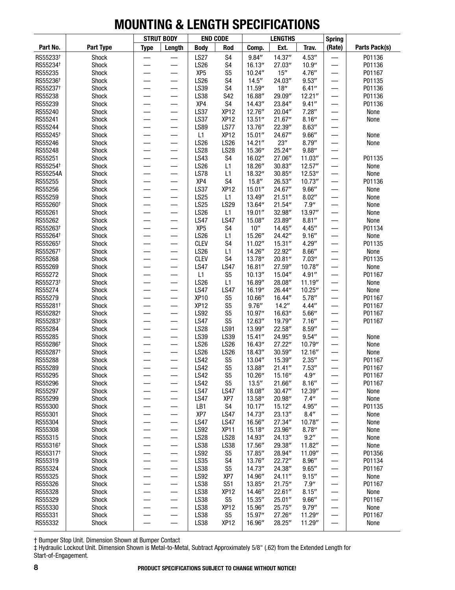|                                              |                |                          | <b>STRUT BODY</b>              | <b>END CODE</b>            |                            |                     | <b>LENGTHS</b>    |                   | <b>Spring</b>            |                |
|----------------------------------------------|----------------|--------------------------|--------------------------------|----------------------------|----------------------------|---------------------|-------------------|-------------------|--------------------------|----------------|
| Part No.                                     | Part Type      | <b>Type</b>              | Length                         | <b>Body</b>                | Rod                        | Comp.               | Ext.              | Trav.             | (Rate)                   | Parts Pack(s)  |
| RS55233 <sup>+</sup>                         | Shock          |                          |                                | <b>LS27</b>                | S <sub>4</sub>             | 9.84''              | 14.37''           | 4.53''            |                          | P01136         |
| RS55234 <sup>+</sup>                         | Shock          |                          |                                | <b>LS26</b>                | S <sub>4</sub>             | 16.13''             | 27.03"            | 10.9''            |                          | P01136         |
| RS55235                                      | Shock          |                          |                                | XP <sub>5</sub>            | S <sub>5</sub>             | 10.24''             | 15''              | 4.76''            |                          | P01167         |
| RS55236 <sup>+</sup>                         | Shock          |                          |                                | <b>LS26</b>                | S <sub>4</sub>             | 14.5''              | 24.03"            | 9.53''            | —                        | P01135         |
| RS55237 <sup>+</sup>                         | Shock          |                          |                                | LS39                       | S <sub>4</sub>             | 11.59"              | 18''              | 6.41''            |                          | P01136         |
| RS55238                                      | Shock          |                          |                                | LS38                       | S42                        | 16.88"              | 29.09"            | 12.21''           |                          | P01136         |
| RS55239                                      | Shock          |                          |                                | XP4                        | S <sub>4</sub>             | 14.43"              | 23.84"            | 9.41''            | $\overline{\phantom{0}}$ | P01136         |
| RS55240                                      | Shock          |                          |                                | <b>LS37</b>                | XP <sub>12</sub>           | 12.76"              | 20.04"            | 7.28''            | —                        | None           |
| RS55241                                      | Shock          |                          |                                | <b>LS37</b>                | XP <sub>12</sub>           | 13.51''             | 21.67''           | 8.16''            |                          | None           |
| RS55244                                      | Shock          |                          |                                | <b>LS89</b>                | LS77                       | 13.76"              | 22.39"            | 8.63''            |                          |                |
| RS55245 <sup>+</sup>                         | Shock          |                          |                                | L1                         | XP <sub>12</sub>           | 15.01''             | 24.67"            | 9.66''            | —                        | None           |
| RS55246                                      | Shock          |                          |                                | <b>LS26</b>                | <b>LS26</b>                | 14.21''             | 23''              | 8.79''            |                          | None           |
| RS55248                                      | Shock          |                          |                                | <b>LS28</b>                | <b>LS28</b>                | 15.36"              | 25.24"            | 9.88''            |                          |                |
| RS55251<br>RS55254 <sup>+</sup>              | Shock          |                          |                                | LS43<br><b>LS26</b>        | S <sub>4</sub>             | 16.02"              | 27.06"            | 11.03''           |                          | P01135         |
|                                              | Shock          |                          |                                | <b>LS78</b>                | L1                         | 18.26"              | 30.83''           | 12.57''           | $\overline{\phantom{0}}$ | None           |
| RS55254A<br>RS55255                          | Shock<br>Shock |                          |                                | XP4                        | L1<br>S <sub>4</sub>       | 18.32"<br>15.8''    | 30.85"<br>26.53"  | 12.53"<br>10.73'' | —                        | None<br>P01136 |
| RS55256                                      | Shock          |                          |                                | <b>LS37</b>                | XP <sub>12</sub>           | 15.01''             | 24.67"            | 9.66''            | —                        | None           |
| RS55259                                      | Shock          |                          |                                | <b>LS25</b>                | L1                         | 13.49"              | 21.51''           | 8.02''            |                          | None           |
| RS55260 <sup>+</sup>                         | Shock          |                          |                                | <b>LS25</b>                | LS29                       | 13.64"              | 21.54"            | 7.9''             |                          | None           |
| RS55261                                      | Shock          |                          |                                | <b>LS26</b>                | L1                         | 19.01''             | 32.98"            | 13.97"            |                          | None           |
| RS55262                                      | Shock          |                          |                                | <b>LS47</b>                | <b>LS47</b>                | 15.08"              | 23.89"            | 8.81''            | —                        | None           |
| RS55263 <sup>+</sup>                         | Shock          |                          |                                | XP <sub>5</sub>            | S <sub>4</sub>             | $10^{\prime\prime}$ | 14.45"            | 4.45''            | $\overline{\phantom{0}}$ | P01134         |
| RS55264 <sup>+</sup>                         | Shock          |                          |                                | <b>LS26</b>                | L1                         | 15.26"              | 24.42"            | 9.16''            |                          | None           |
| RS55265 <sup>+</sup>                         | Shock          |                          |                                | <b>CLEV</b>                | S <sub>4</sub>             | 11.02"              | 15.31''           | 4.29''            |                          | P01135         |
| RS55267 <sup>+</sup>                         | Shock          |                          |                                | <b>LS26</b>                | L1                         | 14.26"              | 22.92"            | 8.66''            |                          | None           |
| RS55268                                      | Shock          |                          |                                | <b>CLEV</b>                | S <sub>4</sub>             | 13.78"              | 20.81"            | 7.03''            |                          | P01135         |
| RS55269                                      | Shock          |                          |                                | <b>LS47</b>                | <b>LS47</b>                | 16.81''             | 27.59"            | 10.78"            |                          | None           |
| RS55272                                      | Shock          |                          |                                | L1                         | S <sub>5</sub>             | 10.13''             | 15.04"            | 4.91''            | —                        | P01167         |
| RS55273 <sup>+</sup>                         | Shock          |                          | —                              | <b>LS26</b>                | L1                         | 16.89"              | 28.08"            | 11.19"            | $\overline{\phantom{0}}$ | None           |
| RS55274                                      | Shock          |                          |                                | <b>LS47</b>                | <b>LS47</b>                | 16.19"              | 26.44"            | 10.25''           |                          | None           |
| RS55279                                      | Shock          |                          |                                | <b>XP10</b>                | S <sub>5</sub>             | 10.66"              | 16.44"            | 5.78''            |                          | P01167         |
| RS55281 <sup>+</sup>                         | Shock          |                          |                                | XP <sub>12</sub>           | S <sub>5</sub>             | 9.76''              | 14.2"             | 4.44''            |                          | P01167         |
| RS55282 <sup>+</sup>                         | Shock          |                          |                                | <b>LS92</b>                | S <sub>5</sub>             | 10.97"              | 16.63"            | 5.66''            |                          | P01167         |
| RS55283 <sup>+</sup>                         | Shock          |                          |                                | <b>LS47</b>                | S <sub>5</sub>             | 12.63"              | 19.79"            | 7.16''            |                          | P01167         |
| RS55284                                      | Shock          |                          |                                | <b>LS28</b>                | <b>LS91</b>                | 13.99"              | 22.58"            | 8.59''            |                          |                |
| RS55285                                      | Shock          |                          | —                              | LS39                       | LS39                       | 15.41''             | 24.95"            | 9.54''            | $\overline{\phantom{0}}$ | None           |
| RS55286 <sup>+</sup><br>RS55287 <sup>+</sup> | Shock          |                          | $\overline{\phantom{0}}$       | <b>LS26</b><br><b>LS26</b> | <b>LS26</b><br><b>LS26</b> | 16.43"              | 27.22"            | 10.79"            | —                        | None           |
| RS55288                                      | Shock<br>Shock |                          |                                | <b>LS42</b>                | S <sub>5</sub>             | 18.43"<br>13.04"    | 30.59''<br>15.39" | 12.16"<br>2.35''  |                          | None<br>P01167 |
| RS55289                                      |                |                          |                                | <b>LS42</b>                | S <sub>5</sub>             | 13.88"              | 21.41''           | 7.53''            |                          | P01167         |
| RS55295                                      | Shock<br>Shock |                          |                                | <b>LS42</b>                | S <sub>5</sub>             | 10.26"              | 15.16"            | 4.9''             |                          | P01167         |
| RS55296                                      | Shock          |                          | —                              | <b>LS42</b>                | S <sub>5</sub>             | 13.5''              | 21.66"            | 8.16''            |                          | P01167         |
| RS55297                                      | Shock          |                          | —                              | <b>LS47</b>                | <b>LS47</b>                | 18.08"              | 30.47''           | 12.39"            | —                        | None           |
| RS55299                                      | Shock          | —                        |                                | <b>LS47</b>                | XP7                        | 13.58"              | 20.98"            | 7.4''             | $\overline{\phantom{0}}$ | None           |
| RS55300                                      | Shock          |                          | $\qquad \qquad \longleftarrow$ | LB1                        | S <sub>4</sub>             | 10.17''             | 15.12"            | 4.95"             |                          | P01135         |
| RS55301                                      | Shock          |                          |                                | XP7                        | <b>LS47</b>                | 14.73"              | 23.13"            | 8.4''             |                          | None           |
| RS55304                                      | Shock          |                          | $\qquad \qquad$                | <b>LS47</b>                | <b>LS47</b>                | 16.56"              | 27.34"            | 10.78"            |                          | None           |
| RS55308                                      | Shock          |                          | $\qquad \qquad$                | <b>LS92</b>                | XP <sub>11</sub>           | 15.18"              | 23.96"            | 8.78''            |                          | None           |
| RS55315                                      | Shock          |                          | $\qquad \qquad$                | <b>LS28</b>                | <b>LS28</b>                | 14.93"              | 24.13"            | 9.2"              |                          | None           |
| RS55316 <sup>+</sup>                         | Shock          |                          | $\qquad \qquad$                | <b>LS38</b>                | LS38                       | 17.56"              | 29.38"            | 11.82"            | —                        | None           |
| RS55317 <sup>+</sup>                         | Shock          | —                        | $\overbrace{\phantom{13333}}$  | <b>LS92</b>                | S <sub>5</sub>             | 17.85"              | 28.94"            | 11.09"            | —                        | P01356         |
| RS55319                                      | Shock          |                          | —                              | <b>LS35</b>                | S4                         | 13.76"              | 22.72"            | 8.96''            |                          | P01134         |
| RS55324                                      | Shock          |                          |                                | LS38                       | S <sub>5</sub>             | 14.73"              | 24.38"            | 9.65''            |                          | P01167         |
| RS55325                                      | Shock          |                          | $\qquad \qquad$                | <b>LS92</b>                | XP7                        | 14.96"              | 24.11"            | 9.15''            |                          | None           |
| RS55326                                      | Shock          |                          | $\qquad \qquad$                | LS38                       | S51                        | 13.85"              | 21.75''           | 7.9''             |                          | P01167         |
| RS55328                                      | Shock          |                          | $\qquad \qquad$                | LS38                       | XP <sub>12</sub>           | 14.46"              | 22.61"            | 8.15''            | $\overline{\phantom{0}}$ | None           |
| RS55329                                      | Shock          |                          | $\qquad \qquad$                | LS38                       | S <sub>5</sub>             | 15.35"              | 25.01"            | 9.66''            | —                        | P01167         |
| RS55330                                      | Shock          | $\overline{\phantom{0}}$ | $\overbrace{\phantom{13333}}$  | LS38                       | XP <sub>12</sub>           | 15.96"              | 25.75"            | 9.79''            | —                        | None           |
| RS55331                                      | Shock          |                          | —                              | <b>LS38</b>                | S <sub>5</sub>             | 15.97"              | 27.26"            | 11.29"            | —                        | P01167         |
| RS55332                                      | Shock          |                          | —                              | <b>LS38</b>                | XP <sub>12</sub>           | 16.96"              | 28.25"            | 11.29"            |                          | None           |

† Bumper Stop Unit. Dimension Shown at Bumper Contact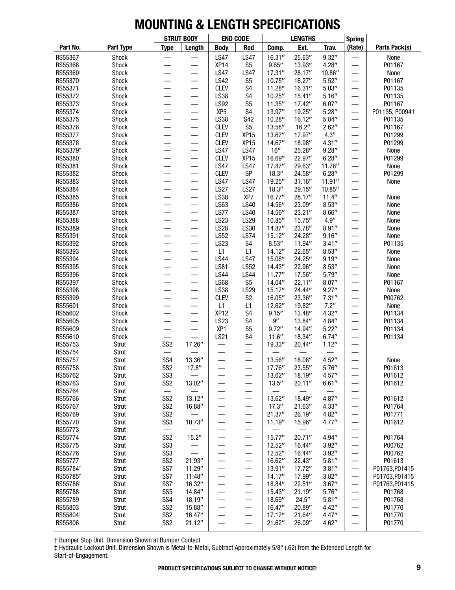|                                              |                |                                    | <b>STRUT BODY</b>        | <b>END CODE</b>                 |                                  |                   | <b>LENGTHS</b>   |                  | <b>Spring</b>            |                          |
|----------------------------------------------|----------------|------------------------------------|--------------------------|---------------------------------|----------------------------------|-------------------|------------------|------------------|--------------------------|--------------------------|
| Part No.                                     | Part Type      | <b>Type</b>                        | Length                   | <b>Body</b>                     | Rod                              | Comp.             | Ext.             | Trav.            | (Rate)                   | Parts Pack(s)            |
| RS55367                                      | Shock          |                                    |                          | <b>LS47</b>                     | <b>LS47</b>                      | 16.31''           | 25.63"           | 9.32''           |                          | None                     |
| RS55368                                      | Shock          |                                    |                          | XP14                            | S <sub>5</sub>                   | 9.65''            | 13.93"           | 4.28''           |                          | P01167                   |
| RS55369 <sup>+</sup>                         | Shock          |                                    |                          | <b>LS47</b>                     | <b>LS47</b>                      | 17.31''           | 28.17"           | 10.86"           |                          | None                     |
| RS55370 <sup>+</sup>                         | Shock          |                                    |                          | <b>LS42</b>                     | S <sub>5</sub>                   | 10.75''           | 16.27"           | 5.52''           |                          | P01167                   |
| RS55371                                      | Shock          |                                    |                          | <b>CLEV</b>                     | S <sub>4</sub>                   | 11.28"            | 16.31''          | 5.03''           | —                        | P01135                   |
| RS55372                                      | Shock          | $\overline{\phantom{0}}$           | $\overline{\phantom{0}}$ | LS38                            | S <sub>4</sub><br>S <sub>5</sub> | 10.25''           | 15.41''          | 5.16''           | —                        | P01135                   |
| RS55373 <sup>+</sup><br>RS55374 <sup>+</sup> | Shock<br>Shock |                                    | $\overline{\phantom{0}}$ | <b>LS92</b><br>XP <sub>5</sub>  | S <sub>4</sub>                   | 11.35''<br>13.97" | 17.42"<br>19.25" | 6.07''<br>5.28'' | —                        | P01167<br>P01135, P00941 |
| RS55375                                      | Shock          |                                    |                          | LS38                            | S42                              | 10.28"            | 16.12"           | 5.84''           |                          | P01135                   |
| RS55376                                      | Shock          | $\overline{\phantom{0}}$           | $\equiv$                 | <b>CLEV</b>                     | S <sub>5</sub>                   | 13.58"            | 16.2"            | 2.62"            |                          | P01167                   |
| RS55377                                      | Shock          |                                    |                          | <b>CLEV</b>                     | XP <sub>15</sub>                 | 13.67"            | 17.97"           | 4.3''            |                          | P01299                   |
| RS55378                                      | Shock          |                                    |                          | <b>CLEV</b>                     | XP <sub>15</sub>                 | 14.67"            | 18.98"           | 4.31''           |                          | P01299                   |
| RS55379 <sup>+</sup>                         | Shock          | $\overline{\phantom{0}}$           | $\overline{\phantom{0}}$ | <b>LS47</b>                     | <b>LS47</b>                      | 16''              | 25.28"           | 9.28''           | —                        | None                     |
| RS55380                                      | Shock          |                                    | $\overline{\phantom{0}}$ | <b>CLEV</b>                     | XP <sub>15</sub>                 | 16.69"            | 22.97"           | 6.28''           | —                        | P01299                   |
| RS55381                                      | Shock          |                                    |                          | <b>LS47</b>                     | <b>LS47</b>                      | 17.87"            | 29.63"           | 11.76"           | —                        | None                     |
| RS55382                                      | Shock          |                                    | —                        | <b>CLEV</b>                     | SP                               | 18.3''            | 24.58"           | 6.28''           | —                        | P01299                   |
| RS55383                                      | Shock          |                                    |                          | <b>LS47</b>                     | <b>LS47</b>                      | 19.25"            | 31.16''          | 11.91''          | —                        | None                     |
| RS55384                                      | Shock          |                                    | $\overline{\phantom{0}}$ | <b>LS27</b>                     | <b>LS27</b>                      | 18.3''            | 29.15"           | 10.85"           | —                        |                          |
| RS55385                                      | Shock          | $\sim$                             | —                        | LS38                            | XP7                              | 16.77"            | 28.17"           | 11.4''           | —                        | None                     |
| RS55386                                      | Shock          | $\overline{\phantom{0}}$           | —                        | LS63                            | <b>LS40</b>                      | 14.56"            | 23.09"           | 8.53''           | —                        | None                     |
| RS55387<br>RS55388                           | Shock<br>Shock | $\overline{\phantom{0}}$           | $\overline{\phantom{0}}$ | LS77<br><b>LS23</b>             | <b>LS40</b><br>LS29              | 14.56"<br>10.85"  | 23.21"<br>15.75" | 8.66''<br>4.9''  | —<br>—                   | None<br>None             |
| RS55389                                      | Shock          | $\overline{\phantom{0}}$           | —                        | <b>LS28</b>                     | LS30                             | 14.87"            | 23.78"           | 8.91''           | —                        | None                     |
| RS55391                                      | Shock          |                                    | $\overline{\phantom{0}}$ | <b>LS52</b>                     | <b>LS74</b>                      | 15.12"            | 24.28"           | 9.16''           |                          | None                     |
| RS55392                                      | Shock          |                                    |                          | <b>LS23</b>                     | S <sub>4</sub>                   | 8.53''            | 11.94"           | 3.41''           |                          | P01135                   |
| RS55393                                      | Shock          |                                    |                          | L1                              | L1                               | 14.12"            | 22.65"           | 8.53''           | —                        | None                     |
| RS55394                                      | Shock          |                                    |                          | <b>LS44</b>                     | <b>LS47</b>                      | 15.06"            | 24.25"           | 9.19''           | —                        | None                     |
| RS55395                                      | Shock          | $\overline{\phantom{0}}$           | $\overline{\phantom{0}}$ | <b>LS81</b>                     | <b>LS52</b>                      | 14.43"            | 22.96"           | 8.53''           | —                        | None                     |
| RS55396                                      | Shock          |                                    |                          | <b>LS44</b>                     | <b>LS44</b>                      | 11.77''           | 17.56"           | 5.79''           | —                        | None                     |
| RS55397                                      | Shock          | —                                  | —                        | <b>LS68</b>                     | S <sub>5</sub>                   | 14.04"            | 22.11"           | 8.07''           | —                        | P01167                   |
| RS55398                                      | Shock          |                                    | $\overline{\phantom{0}}$ | LS38                            | LS29                             | 15.17"            | 24.44"           | 9.27''           | —                        | None                     |
| RS55399                                      | Shock          |                                    |                          | <b>CLEV</b>                     | S <sub>2</sub>                   | 16.05"            | 23.36"           | 7.31''           |                          | P00762                   |
| RS55601                                      | Shock          | $\sim$                             |                          | L1                              | L1                               | 12.62"            | 19.82"           | 7.2"             | —                        | None                     |
| RS55602<br>RS55605                           | Shock<br>Shock | $\overline{\phantom{0}}$           | $\overline{\phantom{0}}$ | XP <sub>12</sub><br><b>LS23</b> | S <sub>4</sub><br>S <sub>4</sub> | 9.15''<br>9''     | 13.48"<br>13.84" | 4.32''<br>4.84'' | —<br>—                   | P01134<br>P01134         |
| RS55609                                      | Shock          |                                    |                          | XP1                             | S <sub>5</sub>                   | 9.72''            | 14.94"           | 5.22"            | —                        | P01134                   |
| RS55610                                      | Shock          |                                    |                          | <b>LS21</b>                     | S <sub>4</sub>                   | 11.6''            | 18.34"           | 6.74''           | —                        | P01134                   |
| RS55753                                      | Strut          | SS <sub>2</sub>                    | 17.26"                   |                                 | —                                | 19.33"            | 20.44"           | 1.12''           | —                        |                          |
| RS55754                                      | Strut          |                                    |                          |                                 |                                  |                   |                  |                  |                          |                          |
| RS55757                                      | Strut          | SS <sub>4</sub>                    | 13.36"                   |                                 | $\overline{\phantom{0}}$         | 13.56"            | 18.08"           | 4.52''           | $\overline{\phantom{0}}$ | None                     |
| RS55758                                      | Strut          | SS <sub>2</sub>                    | 17.8''                   |                                 | —                                | 17.76"            | 23.55"           | 5.76''           |                          | P01613                   |
| RS55762                                      | Strut          | SS <sub>3</sub>                    |                          |                                 | —                                | 13.62"            | 18.19"           | 4.57''           | —                        | P01612                   |
| RS55763                                      | Strut          | SS <sub>2</sub>                    | 13.02"                   |                                 | $\overline{\phantom{0}}$         | 13.5''            | 20.11''          | 6.61''           |                          | P01612                   |
| RS55764                                      | Strut          | —                                  |                          |                                 | —                                |                   |                  |                  |                          |                          |
| RS55766                                      | Strut          | SS <sub>2</sub>                    | 13.12"                   | —                               | —                                | 13.62"            | 18.49"           | 4.87"            | —                        | P01612                   |
| RS55767                                      | Strut          | SS <sub>2</sub>                    | 16.88"                   |                                 | —                                | 17.3''            | 21.63"           | 4.33''           |                          | P01764                   |
| RS55769<br>RS55770                           | Strut<br>Strut | SS <sub>2</sub><br>SS <sub>3</sub> |                          |                                 | $\overline{\phantom{0}}$         | 21.37''           | 26.19"           | 4.82"            |                          | P01771<br>P01612         |
| RS55773                                      | Strut          |                                    | 10.73''                  | —                               | —<br>—                           | 11.19"            | 15.96"           | 4.77''           | —                        |                          |
| RS55774                                      | Strut          | SS <sub>2</sub>                    | 15.2"                    | —                               | $\overline{\phantom{0}}$         | 15.77"            | 20.71"           | 4.94"            |                          | P01764                   |
| RS55775                                      | Strut          | SS <sub>3</sub>                    | $\overline{\phantom{0}}$ | —                               | —                                | 12.52''           | 16.44"           | 3.92''           | —                        | P00762                   |
| RS55776                                      | Strut          | SS <sub>3</sub>                    |                          |                                 | —                                | 12.52"            | 16.44"           | 3.92''           | —                        | P00762                   |
| RS55777                                      | Strut          | SS <sub>2</sub>                    | 21.93"                   |                                 | $\overline{\phantom{0}}$         | 16.62"            | 22.43"           | 5.81''           |                          | P01613                   |
| RS55784 <sup>+</sup>                         | Strut          | SS7                                | 11.29"                   | —                               | $\overline{\phantom{0}}$         | 13.91''           | 17.72"           | 3.81''           |                          | P01763, P01415           |
| RS55785 <sup>+</sup>                         | Strut          | SS7                                | 11.48"                   | —                               | —                                | 14.17''           | 17.99"           | 3.82''           | —                        | P01763, P01415           |
| RS55786 <sup>+</sup>                         | Strut          | SS7                                | 16.32"                   | —                               | $\overline{\phantom{0}}$         | 18.84"            | 22.51"           | 3.67''           |                          | P01763, P01415           |
| RS55788                                      | Strut          | SS <sub>5</sub>                    | 14.84"                   | —                               | $\overline{\phantom{0}}$         | 15.43"            | 21.19''          | 5.76''           | —                        | P01768                   |
| RS55789                                      | Strut          | SS <sub>4</sub>                    | 18.19"                   | —                               |                                  | 18.69"            | 24.5''           | 5.81''           | —                        | P01768                   |
| RS55803                                      | Strut          | SS <sub>2</sub>                    | 15.88"                   | —                               | —                                | 16.47"            | 20.89"           | 4.42''           | —                        | P01770                   |
| RS55804 <sup>+</sup>                         | Strut          | SS <sub>2</sub>                    | 16.47"                   |                                 | $\overline{\phantom{0}}$         | 17.17''           | 21.64"           | 4.47''           |                          | P01770                   |
| RS55806                                      | Strut          | SS <sub>2</sub>                    | 21.12"                   |                                 |                                  | 21.62"            | 26.09"           | 4.62"            |                          | P01770                   |

† Bumper Stop Unit. Dimension Shown at Bumper Contact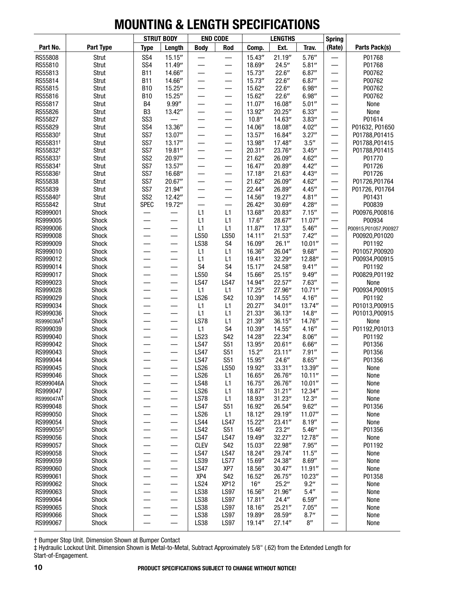|                       |                |                                    | <b>STRUT BODY</b>        |                            | <b>END CODE</b>          |                  | <b>LENGTHS</b>    |                    | <b>Spring</b>                 |                          |
|-----------------------|----------------|------------------------------------|--------------------------|----------------------------|--------------------------|------------------|-------------------|--------------------|-------------------------------|--------------------------|
| Part No.              | Part Type      | <b>Type</b>                        | Length                   | <b>Body</b>                | Rod                      | Comp.            | Ext.              | Trav.              | (Rate)                        | Parts Pack(s)            |
| RS55808               | Strut          | SS <sub>4</sub>                    | 15.15''                  |                            |                          | 15.43''          | 21.19''           | 5.76''             |                               | P01768                   |
| RS55810               | Strut          | SS <sub>4</sub>                    | 11.49"                   |                            | —                        | 18.69"           | 24.5''            | 5.81''             |                               | P01768                   |
| RS55813               | Strut          | <b>B11</b>                         | 14.66"                   |                            | —                        | 15.73"           | 22.6''            | 6.87''             |                               | P00762                   |
| RS55814               | Strut          | <b>B11</b>                         | 14.66"                   |                            |                          | 15.73"           | 22.6''            | 6.87''             |                               | P00762                   |
| RS55815               | Strut          | <b>B10</b>                         | 15.25"                   |                            | —                        | 15.62"           | 22.6''            | 6.98''             |                               | P00762                   |
| RS55816               | Strut          | <b>B10</b>                         | 15.25"                   |                            | —                        | 15.62"           | 22.6''            | 6.98''             |                               | P00762                   |
| RS55817               | Strut          | B4                                 | 9.99''                   |                            | —                        | 11.07"           | 16.08"            | 5.01''             |                               | None                     |
| RS55826               | Strut          | B <sub>3</sub>                     | 13.42"                   | —                          | —                        | 13.92"           | 20.25"            | 6.33''             | —                             | None                     |
| RS55827<br>RS55829    | Strut<br>Strut | SS <sub>3</sub><br>SS <sub>4</sub> | 13.36"                   |                            | —<br>—                   | 10.8''<br>14.06" | 14.63"<br>18.08"  | 3.83''<br>4.02''   | —<br>$\overline{\phantom{0}}$ | P01614<br>P01632, P01650 |
| RS55830 <sup>+</sup>  | Strut          | SS7                                | 13.07"                   |                            | —                        | 13.57"           | 16.84"            | 3.27''             | $\overline{\phantom{0}}$      | P01788, P01415           |
| RS55831 <sup>+</sup>  | Strut          | SS7                                | 13.17''                  | —                          | —                        | 13.98"           | 17.48"            | 3.5''              | —                             | P01788, P01415           |
| RS55832 <sup>+</sup>  | Strut          | SS7                                | 19.81"                   | —                          | —                        | 20.31''          | 23.76"            | 3.45''             | —                             | P01788, P01415           |
| RS55833 <sup>+</sup>  | Strut          | SS <sub>2</sub>                    | 20.97"                   |                            | —                        | 21.62"           | 26.09"            | 4.62"              |                               | P01770                   |
| RS55834 <sup>+</sup>  | Strut          | SS7                                | 13.57''                  | —                          | —                        | 16.47"           | 20.89"            | 4.42''             | —                             | P01726                   |
| RS55836 <sup>+</sup>  | Strut          | SS7                                | 16.68"                   | —                          | —                        | 17.18''          | 21.63"            | 4.43''             | —                             | P01726                   |
| RS55838               | Strut          | SS7                                | 20.67"                   |                            | —                        | 21.62"           | 26.09"            | 4.62''             | —                             | P01726, P01764           |
| RS55839               | Strut          | SS7                                | 21.94"                   |                            | $\overline{\phantom{0}}$ | 22.44"           | 26.89"            | 4.45''             |                               | P01726, P01764           |
| RS55840 <sup>+</sup>  | Strut          | SS <sub>2</sub>                    | 12.42"                   |                            | —                        | 14.56"           | 19.27"            | 4.81''             |                               | P01431                   |
| RS55842               | Strut          | <b>SPEC</b>                        | 19.72"                   |                            | —                        | 26.42"           | 30.69''           | 4.28''             |                               | P00839                   |
| RS999001              | Shock          |                                    |                          | L1                         | L1                       | 13.68"           | 20.83"            | 7.15''             | ÷,                            | P00976,P00816            |
| RS999005              | Shock          | —                                  | —                        | L1                         | L1                       | 17.6''           | 28.67"            | 11.07"             |                               | P00934                   |
| RS999006              | Shock          | —                                  | —                        | L1                         | L1                       | 11.87"           | 17.33"            | 5.46''             | $\qquad \qquad$               | P00915,P01057,P00927     |
| RS999008              | Shock          |                                    |                          | <b>LS50</b>                | <b>LS50</b>              | 14.11''          | 21.53''           | 7.42''             | —                             | P00920, P01020           |
| RS999009              | Shock          |                                    |                          | LS38                       | S <sub>4</sub>           | 16.09"           | 26.1''            | 10.01''            |                               | P01192                   |
| RS999010              | Shock          |                                    |                          | L1                         | L1                       | 16.36"           | 26.04"            | 9.68''             | —                             | P01057, P00920           |
| RS999012              | Shock          |                                    |                          | L1                         | L1                       | 19.41''          | 32.29"            | 12.88"             | —                             | P00934, P00915           |
| RS999014              | Shock          |                                    |                          | S <sub>4</sub>             | S <sub>4</sub>           | 15.17''          | 24.58"            | 9.41''             |                               | P01192                   |
| RS999017              | Shock          | $\overline{\phantom{0}}$           | —                        | <b>LS50</b>                | S <sub>4</sub>           | 15.66"           | 25.15''           | 9.49''             | $\overline{\phantom{0}}$      | P00829, P01192           |
| RS999023              | Shock          |                                    |                          | <b>LS47</b>                | <b>LS47</b>              | 14.94"           | 22.57"            | 7.63''             | —                             | None                     |
| RS999028              | Shock          |                                    |                          | L1                         | L1                       | 17.25"           | 27.96"            | 10.71''            | —                             | P00934, P00915           |
| RS999029<br>RS999034  | Shock<br>Shock |                                    |                          | <b>LS26</b><br>L1          | S42<br>L1                | 10.39"<br>20.27" | 14.55"<br>34.01'' | 4.16''<br>13.74"   | $\overline{\phantom{0}}$<br>— | P01192<br>P01013, P00915 |
| RS999036              | Shock          |                                    | —                        | L1                         | L1                       | 21.33"           | 36.13''           | 14.8''             | —                             | P01013, P00915           |
| RS999036AT            | Shock          |                                    |                          | <b>LS78</b>                | L1                       | 21.39"           | 36.15''           | 14.76"             |                               | None                     |
| RS999039              | Shock          |                                    |                          | L1                         | S <sub>4</sub>           | 10.39"           | 14.55"            | 4.16''             | —                             | P01192, P01013           |
| RS999040              | Shock          |                                    | —                        | LS23                       | S42                      | 14.28"           | 22.34"            | 8.06''             | $\overline{\phantom{0}}$      | P01192                   |
| RS999042              | Shock          |                                    | —                        | <b>LS47</b>                | S51                      | 13.95"           | 20.61''           | 6.66''             | —                             | P01356                   |
| RS999043              | Shock          |                                    |                          | <b>LS47</b>                | S51                      | 15.2"            | 23.11''           | 7.91''             | $\overline{\phantom{0}}$      | P01356                   |
| RS999044              | Shock          |                                    |                          | <b>LS47</b>                | S51                      | 15.95"           | 24.6''            | 8.65''             |                               | P01356                   |
| RS999045              | Shock          |                                    |                          | <b>LS26</b>                | <b>LS50</b>              | 19.92"           | 33.31"            | 13.39"             |                               | None                     |
| RS999046              | Shock          |                                    |                          | <b>LS26</b>                | L1                       | 16.65"           | 26.76"            | 10.11''            |                               | None                     |
| RS999046A             | Shock          |                                    | —                        | <b>LS48</b>                | L1                       | 16.75"           | 26.76"            | 10.01''            |                               | None                     |
| RS999047              | <b>Shock</b>   | $\overline{\phantom{0}}$           | —                        | <b>LS26</b>                | L1                       | 18.87"           | 31.21''           | 12.34"             |                               | None                     |
| RS999047AT            | Shock          |                                    | —                        | <b>LS78</b>                | L1                       | 18.93"           | 31.23''           | 12.3''             |                               | None                     |
| RS999048              | Shock          |                                    | —                        | <b>LS47</b>                | S51                      | 16.92"           | 26.54"            | 9.62''             |                               | P01356                   |
| RS999050              | Shock          |                                    |                          | <b>LS26</b>                | L1                       | 18.12''          | 29.19"            | 11.07"             |                               | None                     |
| RS999054              | Shock          |                                    | $\overline{\phantom{0}}$ | <b>LS44</b>                | <b>LS47</b>              | 15.22"           | 23.41"            | 8.19''             |                               | None                     |
| RS999055 <sup>+</sup> | Shock          |                                    |                          | <b>LS42</b>                | <b>S51</b>               | 15.46"           | 23.2"             | 5.46''             |                               | P01356                   |
| RS999056              | Shock          |                                    | $\overline{\phantom{0}}$ | <b>LS47</b>                | <b>LS47</b>              | 19.49"           | 32.27"            | 12.78"             |                               | None                     |
| RS999057<br>RS999058  | Shock          |                                    | $\qquad \qquad$          | <b>CLEV</b><br><b>LS47</b> | S42<br><b>LS47</b>       | 15.03"<br>18.24" | 22.98"<br>29.74"  | 7.95''<br>11.5''   |                               | P01192                   |
| RS999059              | Shock<br>Shock |                                    | —<br>$\qquad \qquad$     | LS39                       | <b>LS77</b>              | 15.69"           | 24.38"            | 8.69''             |                               | None<br>None             |
| RS999060              | Shock          |                                    |                          | <b>LS47</b>                | XP7                      | 18.56"           | 30.47''           | 11.91''            |                               | None                     |
| RS999061              | Shock          |                                    | $\overline{\phantom{0}}$ | XP4                        | S42                      | 16.52"           | 26.75"            | 10.23''            |                               | P01358                   |
| RS999062              | Shock          |                                    |                          | <b>LS24</b>                | XP <sub>12</sub>         | 16''             | 25.2"             | 9.2"               |                               | None                     |
| RS999063              | Shock          |                                    | —                        | <b>LS38</b>                | <b>LS97</b>              | 16.56"           | 21.96"            | 5.4''              |                               | None                     |
| RS999064              | Shock          |                                    | $\qquad \qquad$          | <b>LS38</b>                | <b>LS97</b>              | 17.81''          | 24.4"             | 6.59''             |                               | None                     |
| RS999065              | Shock          | —                                  |                          | LS38                       | <b>LS97</b>              | 18.16"           | 25.21''           | 7.05''             | $\overline{\phantom{0}}$      | None                     |
| RS999066              | Shock          |                                    | —                        | <b>LS38</b>                | <b>LS97</b>              | 19.89"           | 28.59"            | 8.7''              |                               | None                     |
| RS999067              | Shock          |                                    |                          | <b>LS38</b>                | <b>LS97</b>              | 19.14"           | 27.14"            | $8^{\prime\prime}$ |                               | None                     |

† Bumper Stop Unit. Dimension Shown at Bumper Contact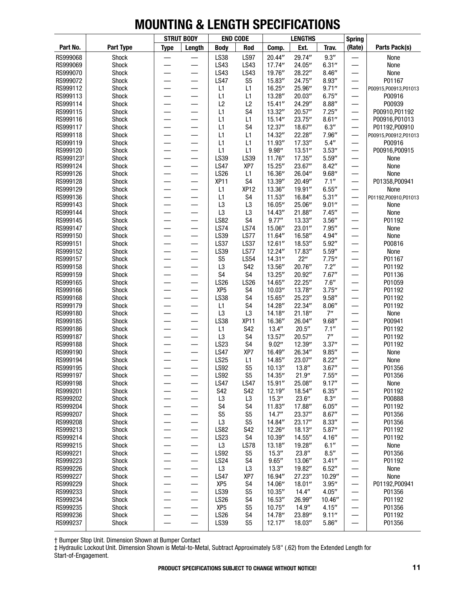|                       |                  |                          | <b>STRUT BODY</b>              |                                  | <b>END CODE</b>           |                  | <b>LENGTHS</b>   |                | <b>Spring</b>                                        |                        |
|-----------------------|------------------|--------------------------|--------------------------------|----------------------------------|---------------------------|------------------|------------------|----------------|------------------------------------------------------|------------------------|
| Part No.              | <b>Part Type</b> | <b>Type</b>              | Length                         | <b>Body</b>                      | Rod                       | Comp.            | Ext.             | Trav.          | (Rate)                                               | Parts Pack(s)          |
| RS999068              | Shock            |                          |                                | LS38                             | <b>LS97</b>               | 20.44"           | 29.74"           | 9.3''          |                                                      | None                   |
| RS999069              | Shock            |                          |                                | LS43                             | LS43                      | 17.74"           | 24.05"           | 6.31''         | —<br>——                                              | None                   |
| RS999070              | Shock            |                          | $\overline{\phantom{0}}$       | LS43                             | LS43                      | 19.76"           | 28.22"           | 8.46''         | —                                                    | None                   |
| RS999072              | Shock            |                          |                                | <b>LS47</b>                      | S <sub>5</sub>            | 15.83"           | 24.75"           | 8.93''         |                                                      | P01167                 |
| RS999112              | Shock            |                          |                                | L1                               | L1                        | 16.25"           | 25.96"           | 9.71''         | $\overline{\phantom{0}}$                             | P00915, P00913, P01013 |
| RS999113              | Shock            | $\overline{\phantom{0}}$ |                                | L1                               | L1                        | 13.28"           | 20.03"           | 6.75''         | $\overline{\phantom{0}}$                             | P00916                 |
| RS999114              | Shock            | $\overline{\phantom{0}}$ | $\overline{\phantom{0}}$       | L2                               | L2                        | 15.41''          | 24.29"           | 8.88''         | $\overline{\phantom{0}}$                             | P00939                 |
| RS999115              | Shock            | $\overline{\phantom{0}}$ | $\overline{\phantom{0}}$       | L1                               | S <sub>4</sub>            | 13.32"           | 20.57"           | 7.25''         | —                                                    | P00910, P01192         |
| RS999116              | Shock            |                          |                                | L1                               | L1                        | 15.14''          | 23.75"           | 8.61''         | —                                                    | P00916, P01013         |
| RS999117              | Shock            |                          |                                | L1                               | S <sub>4</sub>            | 12.37"           | 18.67"           | 6.3''          |                                                      | P01192, P00910         |
| RS999118              | Shock            |                          |                                | L1                               | L1                        | 14.32"           | 22.28"           | 7.96"          |                                                      | P00915, P00912, P01013 |
| RS999119              | Shock            |                          |                                | L1                               | L1                        | 11.93"           | 17.33"           | 5.4''          | —                                                    | P00916                 |
| RS999120              | Shock            | $\overline{\phantom{0}}$ |                                | L1                               | L1                        | 9.98''           | 13.51''          | 3.53''         |                                                      | P00916, P00915         |
| RS999123 <sup>+</sup> | Shock            |                          | $\sim$                         | LS39                             | LS39                      | 11.76"           | 17.35"           | 5.59''         | —                                                    | None                   |
| RS999124              | Shock            | $\overline{\phantom{0}}$ | $\overline{\phantom{0}}$       | <b>LS47</b>                      | XP7                       | 15.25"           | 23.67"           | 8.42''         | —                                                    | None                   |
| RS999126              | Shock            | $\overline{\phantom{0}}$ | —                              | LS26                             | L1                        | 16.36"           | 26.04"           | 9.68''         | —                                                    | None                   |
| RS999128              | Shock            |                          |                                | <b>XP11</b>                      | S4                        | 13.39"           | 20.49"           | 7.1''          |                                                      | P01358, P00941         |
| RS999129              | Shock            |                          |                                | L1                               | XP <sub>12</sub>          | 13.36"           | 19.91"           | 6.55''         |                                                      | None                   |
| RS999136              | Shock            |                          |                                | L1                               | S <sub>4</sub>            | 11.53''          | 16.84"           | 5.31''         | —                                                    | P01192,P00910,P01013   |
| RS999143              | Shock            |                          |                                | L <sub>3</sub>                   | L <sub>3</sub>            | 16.05"           | 25.06"           | 9.01''         | —                                                    | None                   |
| RS999144              | Shock            |                          |                                | L <sub>3</sub>                   | L <sub>3</sub>            | 14.43"           | 21.88"           | 7.45''         | —                                                    | None                   |
| RS999145              | Shock            | —                        | $\overline{\phantom{0}}$       | <b>LS82</b>                      | S <sub>4</sub>            | 9.77''           | 13.33"           | 3.56''         | —                                                    | P01192                 |
| RS999147              | Shock            | $\overline{\phantom{0}}$ | —                              | <b>LS74</b>                      | <b>LS74</b>               | 15.06"           | 23.01"           | 7.95''         | —                                                    | None                   |
| RS999150              | Shock            |                          | $\overline{\phantom{0}}$       | LS39                             | LS77                      | 11.64"           | 16.58"           | 4.94"          | —                                                    | None                   |
| RS999151              | Shock            |                          | $\overline{\phantom{0}}$       | <b>LS37</b>                      | <b>LS37</b>               | 12.61''          | 18.53"           | 5.92"          |                                                      | P00816                 |
| RS999152              | Shock            |                          |                                | LS39                             | LS77                      | 12.24"           | 17.83"           | 5.59''         | $\overline{\phantom{0}}$                             | None                   |
| RS999157              | Shock            |                          |                                | S <sub>5</sub>                   | <b>LS54</b><br><b>S42</b> | 14.31''          | 22"              | 7.75''<br>7.2" | —                                                    | P01167                 |
| RS999158              | Shock            |                          |                                | L <sub>3</sub><br>S <sub>4</sub> | S4                        | 13.56"           | 20.76"           | 7.67''         |                                                      | P01192                 |
| RS999159<br>RS999165  | Shock            |                          |                                | <b>LS26</b>                      | <b>LS26</b>               | 13.25"<br>14.65" | 20.92"<br>22.25" | 7.6''          | —                                                    | P01136                 |
| RS999166              | Shock<br>Shock   | —                        | $\overline{\phantom{0}}$       | XP <sub>5</sub>                  | S4                        | 10.03''          | 13.78"           | 3.75''         | —                                                    | P01059<br>P01192       |
| RS999168              | Shock            |                          | —                              | LS38                             | S <sub>4</sub>            | 15.65"           | 25.23"           | 9.58''         | —                                                    | P01192                 |
| RS999179              | Shock            |                          |                                | L1                               | S <sub>4</sub>            | 14.28"           | 22.34"           | 8.06''         | $\overline{\phantom{0}}$<br>$\overline{\phantom{0}}$ | P01192                 |
| RS999180              | Shock            |                          |                                | L <sub>3</sub>                   | L <sub>3</sub>            | 14.18"           | 21.18''          | 7"             | —                                                    | None                   |
| RS999185              | Shock            |                          | $\sim$                         | <b>LS38</b>                      | XP <sub>11</sub>          | 16.36"           | 26.04"           | 9.68''         | —                                                    | P00941                 |
| RS999186              | Shock            |                          |                                | L1                               | <b>S42</b>                | 13.4''           | 20.5''           | 7.1''          | —                                                    | P01192                 |
| RS999187              | Shock            | $\overline{\phantom{0}}$ | —                              | L <sub>3</sub>                   | S <sub>4</sub>            | 13.57''          | 20.57"           | 7"             | —                                                    | P01192                 |
| RS999188              | Shock            |                          |                                | LS23                             | S4                        | 9.02''           | 12.39"           | 3.37''         | —                                                    | P01192                 |
| RS999190              | Shock            |                          |                                | <b>LS47</b>                      | XP7                       | 16.49"           | 26.34"           | 9.85''         |                                                      | None                   |
| RS999194              | Shock            |                          |                                | <b>LS25</b>                      | L1                        | 14.85"           | 23.07"           | 8.22''         | —                                                    | None                   |
| RS999195              | Shock            |                          |                                | <b>LS92</b>                      | S <sub>5</sub>            | 10.13''          | 13.8''           | 3.67''         | —                                                    | P01356                 |
| RS999197              | Shock            |                          |                                | LS92                             | S <sub>5</sub>            | 14.35"           | 21.9''           | 7.55''         |                                                      | P01356                 |
| RS999198              | Shock            |                          | —                              | <b>LS47</b>                      | <b>LS47</b>               | 15.91''          | 25.08"           | 9.17''         |                                                      | None                   |
| RS999201              | Shock            | —                        | $\qquad \qquad \longleftarrow$ | S42                              | S42                       | 12.19"           | 18.54"           | 6.35''         | —                                                    | P01192                 |
| RS999202              | Shock            |                          |                                | L3                               | L3                        | 15.3''           | 23.6''           | 8.3''          |                                                      | P00888                 |
| RS999204              | Shock            |                          |                                | S <sub>4</sub>                   | S <sub>4</sub>            | 11.83"           | 17.88"           | 6.05''         |                                                      | P01192                 |
| RS999207              | Shock            |                          |                                | S <sub>5</sub>                   | S <sub>5</sub>            | 14.7''           | 23.37"           | 8.67''         |                                                      | P01356                 |
| RS999208              | Shock            |                          |                                | L3                               | S <sub>5</sub>            | 14.84"           | 23.17"           | 8.33''         | —                                                    | P01356                 |
| RS999213              | Shock            |                          | —                              | <b>LS82</b>                      | S42                       | 12.26"           | 18.13"           | 5.87''         |                                                      | P01192                 |
| RS999214              | Shock            |                          | —                              | LS23                             | S4                        | 10.39"           | 14.55"           | 4.16''         |                                                      | P01192                 |
| RS999215              | Shock            | $\overline{\phantom{0}}$ | —                              | L <sub>3</sub>                   | <b>LS78</b>               | 13.18''          | 19.28"           | 6.1''          | —                                                    | None                   |
| RS999221              | Shock            | —                        | —                              | <b>LS92</b>                      | S5                        | 15.3''           | 23.8''           | 8.5''          | —                                                    | P01356                 |
| RS999223              | Shock            |                          | —                              | <b>LS24</b>                      | S4                        | 9.65''           | 13.06"           | 3.41''         |                                                      | P01192                 |
| RS999226              | Shock            |                          | —                              | L3                               | L3                        | 13.3''           | 19.82"           | 6.52''         | —                                                    | None                   |
| RS999227              | Shock            |                          |                                | <b>LS47</b>                      | XP7                       | 16.94"           | 27.23"           | 10.29"         |                                                      | None                   |
| RS999229              | Shock            |                          | —                              | XP <sub>5</sub>                  | S4                        | 14.06"           | 18.01''          | 3.95''         |                                                      | P01192, P00941         |
| RS999233              | Shock            |                          |                                | LS39                             | S <sub>5</sub>            | 10.35''          | 14.4''           | 4.05''         |                                                      | P01356                 |
| RS999234              | Shock            |                          | —                              | LS26                             | S4                        | 16.53"           | 26.99"           | 10.46"         |                                                      | P01192                 |
| RS999235              | Shock            | —                        | —                              | XP <sub>5</sub>                  | S <sub>5</sub>            | 10.75''          | 14.9''           | 4.15''         | —                                                    | P01356                 |
| RS999236              | Shock            |                          | —                              | <b>LS26</b>                      | S4                        | 14.78"           | 23.89"           | 9.11''         | $\overline{\phantom{0}}$                             | P01192                 |
| RS999237              | Shock            | $\overline{\phantom{0}}$ |                                | LS39                             | S <sub>5</sub>            | 12.17''          | 18.03"           | 5.86''         |                                                      | P01356                 |
|                       |                  |                          |                                |                                  |                           |                  |                  |                |                                                      |                        |

† Bumper Stop Unit. Dimension Shown at Bumper Contact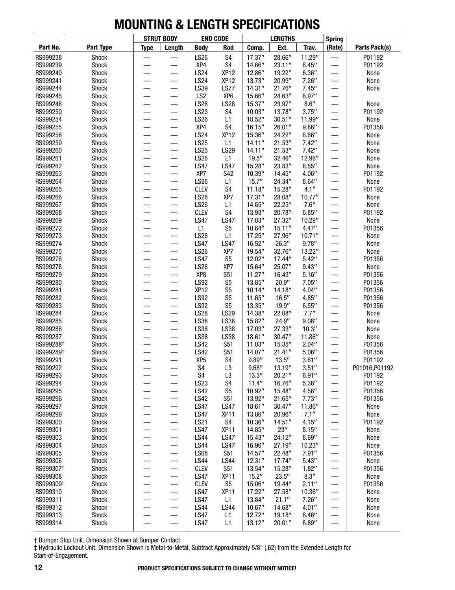|                       |                       |             | <b>STRUT BODY</b>              | <b>END CODE</b>            |                           |                    | <b>LENGTHS</b>    |                  | <b>Spring</b>                  |                |
|-----------------------|-----------------------|-------------|--------------------------------|----------------------------|---------------------------|--------------------|-------------------|------------------|--------------------------------|----------------|
| Part No.              | Part Type             | <b>Type</b> | Length                         | <b>Body</b>                | Rod                       | Comp.              | Ext.              | Trav.            | (Rate)                         | Parts Pack(s)  |
| RS999238              | Shock                 |             |                                | <b>LS26</b>                | S <sub>4</sub>            | 17.37"             | 28.66"            | 11.29"           |                                | P01192         |
| RS999239              | Shock                 |             |                                | XP4                        | S <sub>4</sub>            | 14.66"             | 23.11"            | 8.45''           |                                | P01192         |
| RS999240              | Shock                 |             |                                | <b>LS24</b>                | XP <sub>12</sub>          | 12.86"             | 19.22"            | 6.36''           |                                | None           |
| RS999241              | Shock                 |             |                                | <b>LS24</b>                | XP <sub>12</sub>          | 13.73"             | 20.99"            | 7.26''           |                                | None           |
| RS999244              | Shock                 |             |                                | LS39                       | <b>LS77</b>               | 14.31''            | 21.76"            | 7.45''           |                                | None           |
| RS999245              | Shock                 |             |                                | LS <sub>2</sub>            | XP <sub>6</sub>           | 15.66"             | 24.63"            | 8.97''           |                                |                |
| RS999248              | Shock                 |             |                                | <b>LS28</b>                | <b>LS28</b>               | 15.37"             | 23.97"            | 8.6''            |                                | None           |
| RS999250              | Shock<br><b>Shock</b> |             | —                              | LS23                       | S <sub>4</sub>            | 10.03''            | 13.78"            | 3.75''           |                                | P01192         |
| RS999254<br>RS999255  | Shock                 |             |                                | <b>LS26</b><br>XP4         | L1<br>S <sub>4</sub>      | 18.52"<br>16.15''  | 30.51''<br>26.01" | 11.99"<br>9.86'' |                                | None<br>P01358 |
| RS999256              | Shock                 |             |                                | <b>LS24</b>                | XP <sub>12</sub>          | 15.36"             | 24.22"            | 8.86''           |                                | None           |
| RS999259              | Shock                 |             |                                | <b>LS25</b>                | L1                        | 14.11''            | 21.53''           | 7.42''           |                                | None           |
| RS999260              | Shock                 |             |                                | <b>LS25</b>                | LS29                      | 14.11''            | 21.53''           | 7.42''           |                                | None           |
| RS999261              | Shock                 |             |                                | <b>LS26</b>                | L1                        | 19.5''             | 32.46"            | 12.96"           |                                | None           |
| RS999262              | Shock                 |             |                                | <b>LS47</b>                | <b>LS47</b>               | 15.28"             | 23.83"            | 8.55''           | $\overline{\phantom{0}}$       | None           |
| RS999263              | Shock                 |             |                                | XP7                        | S42                       | 10.39"             | 14.45"            | 4.06''           | $\overline{\phantom{0}}$       | P01192         |
| RS999264              | Shock                 |             |                                | <b>LS26</b>                | L1                        | 15.7''             | 24.34"            | 8.64''           |                                | None           |
| RS999265              | Shock                 |             |                                | <b>CLEV</b>                | S <sub>4</sub>            | 11.18''            | 15.28"            | 4.1''            |                                | P01192         |
| RS999266              | Shock                 |             |                                | <b>LS26</b>                | XP7                       | 17.31''            | 28.08"            | 10.77"           |                                | None           |
| RS999267              | Shock                 |             |                                | <b>LS26</b>                | L1                        | 14.65"             | 22.25"            | 7.6''            |                                | None           |
| RS999268              | Shock                 |             |                                | <b>CLEV</b>                | S <sub>4</sub>            | 13.93"             | 20.78"            | 6.85''           |                                | P01192         |
| RS999269              | Shock                 |             |                                | <b>LS47</b>                | <b>LS47</b>               | 17.03"             | 27.32"            | 10.29"           | $\overline{\phantom{0}}$       | None           |
| RS999272              | Shock                 |             |                                | L1                         | S <sub>5</sub>            | 10.64"             | 15.11''           | 4.47''           | $\overline{\phantom{0}}$       | P01356         |
| RS999273              | Shock                 |             |                                | <b>LS26</b>                | L1                        | 17.25"             | 27.96"            | 10.71''          |                                | None           |
| RS999274              | Shock                 |             |                                | <b>LS47</b>                | <b>LS47</b>               | 16.52"             | 26.3''            | 9.78''           |                                | None           |
| RS999275              | Shock                 |             |                                | <b>LS26</b>                | XP7                       | 19.54"             | 32.76"            | 13.22"           |                                | None           |
| RS999276              | Shock                 |             |                                | <b>LS47</b>                | S <sub>5</sub>            | 12.02"             | 17.44"            | 5.42''           |                                | P01356         |
| RS999278              | Shock                 |             |                                | <b>LS26</b>                | XP7                       | 15.64"             | 25.07"            | 9.43''           |                                | None           |
| RS999279              | Shock                 |             |                                | XP8                        | S51                       | 11.27''            | 16.43"            | 5.16''           | $\overline{\phantom{0}}$       | P01356         |
| RS999280              | Shock                 |             |                                | <b>LS92</b>                | S <sub>5</sub>            | 13.85"             | 20.9''            | 7.05''           |                                | P01356         |
| RS999281              | Shock                 |             |                                | XP <sub>12</sub>           | S <sub>5</sub>            | 10.14''            | 14.18"            | 4.04''           |                                | P01356         |
| RS999282<br>RS999283  | Shock                 |             |                                | <b>LS92</b><br><b>LS92</b> | S <sub>5</sub>            | 11.65"             | 16.5''            | 4.85''           |                                | P01356         |
| RS999284              | Shock<br>Shock        |             |                                | <b>LS28</b>                | S <sub>5</sub><br>LS29    | 13.35"<br>14.38"   | 19.9''<br>22.08"  | 6.55''<br>7.7"   |                                | P01356<br>None |
| RS999285              | Shock                 |             |                                | <b>LS38</b>                | LS38                      | 15.82"             | 24.9"             | 9.08''           |                                | None           |
| RS999286              | Shock                 |             |                                | LS38                       | LS38                      | 17.03"             | 27.33"            | 10.3''           |                                | None           |
| RS999287              | <b>Shock</b>          |             |                                | LS38                       | LS38                      | 18.61''            | 30.47''           | 11.86"           | $\overline{\phantom{0}}$       | None           |
| RS999288 <sup>+</sup> | Shock                 |             | —                              | <b>LS42</b>                | <b>S51</b>                | 11.03"             | 15.35"            | 2.04''           | —                              | P01356         |
| RS999289 <sup>+</sup> | Shock                 |             |                                | <b>LS42</b>                | S51                       | 14.07"             | 21.41''           | 5.06''           |                                | P01356         |
| RS999291              | Shock                 |             |                                | XP <sub>5</sub>            | S <sub>4</sub>            | 9.89''             | 13.5''            | 3.61''           |                                | P01192         |
| RS999292              | Shock                 |             |                                | S4                         | L3                        | 9.68''             | 13.19"            | 3.51''           |                                | P01016, P01192 |
| RS999293              | Shock                 |             |                                | S4                         | L <sub>3</sub>            | 13.3''             | 20.21"            | 6.91''           |                                | P01192         |
| RS999294              | Shock                 |             | —                              | <b>LS23</b>                | S <sub>4</sub>            | 11.4''             | 16.76"            | 5.36''           |                                | P01192         |
| RS999295              | <b>Shock</b>          | —           |                                | <b>LS42</b>                | S <sub>5</sub>            | 10.92"             | 15.48"            | 4.56''           |                                | P01356         |
| RS999296              | Shock                 |             | —                              | <b>LS42</b>                | <b>S51</b>                | 13.92"             | 21.65"            | 7.73''           |                                | P01356         |
| RS999297              | Shock                 |             | —                              | <b>LS47</b>                | <b>LS47</b>               | 18.61''            | 30.47''           | 11.86"           |                                | None           |
| RS999299              | Shock                 |             | —                              | <b>LS47</b>                | <b>XP11</b>               | 13.86"             | 20.96"            | 7.1''            |                                | None           |
| RS999300              | Shock                 |             | $\qquad \qquad \longleftarrow$ | <b>LS21</b>                | S4                        | 10.36"             | 14.51''           | 4.15''           |                                | P01192         |
| RS999301              | Shock                 |             | —                              | <b>LS47</b>                | XP <sub>11</sub>          | 14.85"             | 23''              | 8.15''           |                                | None           |
| RS999303              | Shock                 |             |                                | <b>LS44</b>                | <b>LS47</b>               | 15.43"             | 24.12"            | 8.69''           |                                | None           |
| RS999304              | Shock                 |             | —                              | <b>LS44</b>                | <b>LS47</b><br><b>S51</b> | 16.96"             | 27.19"            | 10.23"           |                                | None           |
| RS999305<br>RS999306  | Shock<br>Shock        |             | —                              | <b>LS68</b><br><b>LS44</b> | <b>LS44</b>               | 14.57''<br>12.31'' | 22.48"<br>17.74"  | 7.91''<br>5.43'' |                                | P01356<br>None |
| RS999307 <sup>+</sup> | Shock                 |             | $\qquad \qquad \longleftarrow$ | <b>CLEV</b>                | S <sub>51</sub>           | 13.54"             | 15.28"            | 1.82''           |                                | P01356         |
| RS999308              | Shock                 |             | —                              | <b>LS47</b>                | <b>XP11</b>               | 15.2"              | 23.5''            | 8.3''            |                                | None           |
| RS999309 <sup>+</sup> | Shock                 |             |                                | <b>CLEV</b>                | S <sub>5</sub>            | 15.06"             | 19.44"            | 2.11''           |                                | P01356         |
| RS999310              | Shock                 |             | —                              | <b>LS47</b>                | <b>XP11</b>               | 17.22"             | 27.58"            | 10.36"           |                                | None           |
| RS999311              | Shock                 |             | —                              | <b>LS47</b>                | L1                        | 13.84"             | 21.1''            | 7.26''           |                                | None           |
| RS999312              | Shock                 | —           |                                | <b>LS44</b>                | <b>LS44</b>               | 10.67"             | 14.68"            | 4.01''           | $\qquad \qquad \longleftarrow$ | None           |
| RS999313              | Shock                 |             | —                              | <b>LS47</b>                | L1                        | 12.72"             | 19.18"            | 6.46''           |                                | None           |
| RS999314              | Shock                 |             | —                              | <b>LS47</b>                | L1                        | 13.12''            | 20.01"            | 6.89''           |                                | None           |
|                       |                       |             |                                |                            |                           |                    |                   |                  |                                |                |

† Bumper Stop Unit. Dimension Shown at Bumper Contact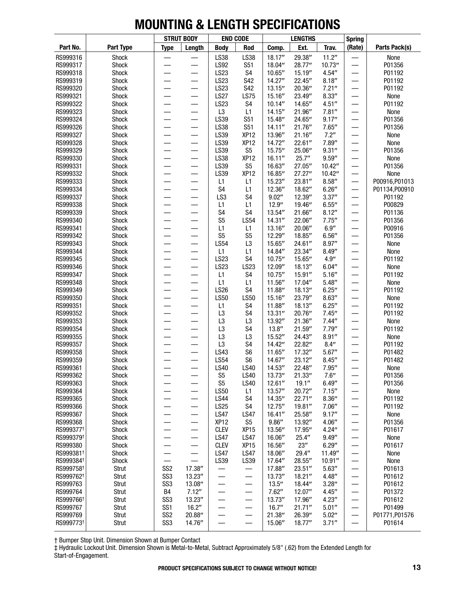|                                                |                | <b>STRUT BODY</b>        |                                | <b>END CODE</b>                  |                                  | <b>LENGTHS</b>     |                   |                   | <b>Spring</b>            |                  |
|------------------------------------------------|----------------|--------------------------|--------------------------------|----------------------------------|----------------------------------|--------------------|-------------------|-------------------|--------------------------|------------------|
| Part No.                                       | Part Type      | <b>Type</b>              | Length                         | <b>Body</b>                      | Rod                              | Comp.              | Ext.              | Trav.             | (Rate)                   | Parts Pack(s)    |
| RS999316                                       | Shock          |                          |                                | LS38                             | LS38                             | 18.17"             | 29.38"            | 11.2"             |                          | None             |
| RS999317                                       | Shock          |                          |                                | <b>LS92</b>                      | <b>S51</b>                       | 18.04"             | 28.77"            | 10.73"            | —                        | P01356           |
| RS999318                                       | Shock          | $\overline{\phantom{0}}$ | $\overline{\phantom{0}}$       | <b>LS23</b>                      | S4                               | 10.65"             | 15.19"            | 4.54''            |                          | P01192           |
| RS999319                                       | Shock          |                          |                                | <b>LS23</b>                      | S42                              | 14.27''            | 22.45"            | 8.18''            |                          | P01192           |
| RS999320                                       | Shock          |                          |                                | LS23                             | <b>S42</b>                       | 13.15''            | 20.36"            | 7.21''            |                          | P01192           |
| RS999321                                       | Shock          |                          |                                | <b>LS27</b>                      | <b>LS75</b>                      | 15.16"             | 23.49"            | 8.33''            | —                        | None             |
| RS999322<br>RS999323                           | Shock<br>Shock |                          |                                | LS23<br>L <sub>3</sub>           | S4<br>L1                         | 10.14''<br>14.15'' | 14.65"<br>21.96"  | 4.51''<br>7.81''  | —                        | P01192<br>None   |
| RS999324                                       | Shock          |                          |                                | LS39                             | <b>S51</b>                       | 15.48"             | 24.65"            | 9.17''            | —                        | P01356           |
| RS999326                                       | Shock          | $\overline{\phantom{0}}$ | $\overline{\phantom{0}}$       | LS38                             | <b>S51</b>                       | 14.11''            | 21.76"            | 7.65''            |                          | P01356           |
| RS999327                                       | Shock          |                          |                                | LS39                             | XP <sub>12</sub>                 | 13.96"             | 21.16''           | 7.2"              |                          | None             |
| RS999328                                       | Shock          |                          |                                | LS39                             | XP <sub>12</sub>                 | 14.72"             | 22.61''           | 7.89"             |                          | None             |
| RS999329                                       | Shock          | $\overline{\phantom{0}}$ |                                | LS39                             | S <sub>5</sub>                   | 15.75"             | 25.06"            | 9.31''            | —                        | P01356           |
| RS999330                                       | Shock          |                          | $\overline{\phantom{0}}$       | LS38                             | XP <sub>12</sub>                 | 16.11''            | 25.7''            | 9.59''            | —                        | None             |
| RS999331                                       | Shock          |                          |                                | LS39                             | S <sub>5</sub>                   | 16.63"             | 27.05"            | 10.42"            | —                        | P01356           |
| RS999332                                       | Shock          | —                        | —                              | LS39                             | XP <sub>12</sub>                 | 16.85"             | 27.27"            | 10.42"            | —                        | None             |
| RS999333                                       | Shock          | $\overline{\phantom{0}}$ |                                | L1                               | L1                               | 15.23"             | 23.81"            | 8.58''            | $\qquad \qquad$          | P00916, P01013   |
| RS999334                                       | Shock          |                          |                                | S <sub>4</sub>                   | L1                               | 12.36"             | 18.62"            | 6.26''            | —                        | P01134, P00910   |
| RS999337                                       | Shock          |                          |                                | LS <sub>3</sub>                  | S <sub>4</sub>                   | 9.02''             | 12.39"            | 3.37''            |                          | P01192           |
| RS999338                                       | Shock          | $\overline{\phantom{0}}$ |                                | L1                               | L1                               | 12.9''             | 19.46"            | 6.55''            | —                        | P00829           |
| RS999339                                       | Shock          |                          |                                | S <sub>4</sub><br>S <sub>5</sub> | S <sub>4</sub><br><b>LS54</b>    | 13.54"<br>14.31''  | 21.66"            | 8.12''            | —                        | P01136           |
| RS999340<br>RS999341                           | Shock<br>Shock | $\overline{\phantom{0}}$ |                                | L1                               | L1                               | 13.16"             | 22.06"<br>20.06'' | 7.75''<br>6.9''   | —<br>—                   | P01356<br>P00916 |
| RS999342                                       | Shock          | $\overline{\phantom{0}}$ |                                | S <sub>5</sub>                   | S <sub>5</sub>                   | 12.29"             | 18.85"            | 6.56''            | $\overline{\phantom{0}}$ | P01356           |
| RS999343                                       | Shock          |                          |                                | <b>LS54</b>                      | L <sub>3</sub>                   | 15.65"             | 24.61"            | 8.97''            |                          | None             |
| RS999344                                       | Shock          |                          |                                | L1                               | L1                               | 14.84"             | 23.34"            | 8.49''            |                          | None             |
| RS999345                                       | Shock          |                          |                                | LS23                             | S <sub>4</sub>                   | 10.75''            | 15.65"            | 4.9''             | —<br>—                   | P01192           |
| RS999346                                       | Shock          | $\overline{\phantom{0}}$ | —                              | <b>LS23</b>                      | <b>LS23</b>                      | 12.09"             | 18.13''           | 6.04''            | —                        | None             |
| RS999347                                       | Shock          |                          |                                | L1                               | S <sub>4</sub>                   | 10.75''            | 15.91''           | 5.16''            | —                        | P01192           |
| RS999348                                       | Shock          | $\overline{\phantom{0}}$ |                                | L1                               | L1                               | 11.56"             | 17.04"            | 5.48''            | —                        | None             |
| RS999349                                       | Shock          | $\overline{\phantom{0}}$ |                                | <b>LS26</b>                      | S <sub>4</sub>                   | 11.88"             | 18.13''           | 6.25''            | $\overline{\phantom{0}}$ | P01192           |
| RS999350                                       | Shock          |                          |                                | <b>LS50</b>                      | <b>LS50</b>                      | 15.16"             | 23.79"            | 8.63''            |                          | None             |
| RS999351                                       | Shock          |                          |                                | L1                               | S4                               | 11.88"             | 18.13"            | 6.25''            |                          | P01192           |
| RS999352                                       | Shock          |                          |                                | L <sub>3</sub>                   | S <sub>4</sub>                   | 13.31''            | 20.76"            | 7.45''            | —<br>—                   | P01192           |
| RS999353                                       | Shock          | $\overline{\phantom{0}}$ | —                              | L <sub>3</sub>                   | L <sub>3</sub>                   | 13.92"             | 21.36"            | 7.44''            | —                        | None             |
| RS999354<br>RS999355                           | Shock<br>Shock |                          |                                | L <sub>3</sub><br>L <sub>3</sub> | S <sub>4</sub><br>L <sub>3</sub> | 13.8''<br>15.52"   | 21.59"<br>24.43"  | 7.79''<br>8.91''  | $\overline{\phantom{0}}$ | P01192<br>None   |
| RS999357                                       | Shock          |                          |                                | L <sub>3</sub>                   | S <sub>4</sub>                   | 14.42"             | 22.82"            | 8.4''             | —                        | P01192           |
| RS999358                                       | Shock          |                          |                                | LS43                             | S <sub>6</sub>                   | 11.65"             | 17.32"            | 5.67''            |                          | P01482           |
| RS999359                                       | Shock          |                          |                                | <b>LS54</b>                      | S <sub>6</sub>                   | 14.67"             | 23.12"            | 8.45''            | $\overline{\phantom{0}}$ | P01482           |
| RS999361                                       | Shock          |                          |                                | <b>LS40</b>                      | <b>LS40</b>                      | 14.53"             | 22.48"            | 7.95''            |                          | None             |
| RS999362                                       | Shock          |                          |                                | S <sub>5</sub>                   | <b>LS40</b>                      | 13.73"             | 21.33''           | 7.6''             | —                        | P01356           |
| RS999363                                       | Shock          |                          |                                | S <sub>5</sub>                   | <b>LS40</b>                      | 12.61''            | 19.1''            | 6.49''            |                          | P01356           |
| RS999364                                       | Shock          |                          | —                              | <b>LS50</b>                      | L1                               | 13.57"             | 20.72"            | 7.15''            |                          | None             |
| RS999365                                       | Shock          |                          | —                              | <b>LS44</b>                      | S4                               | 14.35"             | 22.71"            | 8.36''            |                          | P01192           |
| RS999366                                       | Shock          |                          |                                | <b>LS25</b>                      | S4                               | 12.75"             | 19.81"            | 7.06''            |                          | P01192           |
| RS999367                                       | Shock          |                          | —                              | <b>LS47</b>                      | <b>LS47</b>                      | 16.41''            | 25.58"            | 9.17''            |                          | None             |
| RS999368                                       | Shock          | —                        | —                              | XP <sub>12</sub>                 | S <sub>5</sub>                   | 9.86''             | 13.92"            | 4.06''            | —                        | P01356           |
| RS999377 <sup>+</sup>                          | Shock          | —                        | —                              | <b>CLEV</b>                      | XP <sub>15</sub>                 | 13.56"             | 17.95"            | 4.24''            |                          | P01617           |
| RS999379 <sup>+</sup>                          | Shock          | $\overline{\phantom{0}}$ | $\overline{\phantom{0}}$       | <b>LS47</b>                      | <b>LS47</b>                      | 16.06"             | 25.4"             | 9.49''            | —                        | None             |
| RS999380                                       | Shock          |                          | $\overline{\phantom{0}}$       | <b>CLEV</b>                      | XP <sub>15</sub>                 | 16.56"             | 23''              | 6.29''            | —                        | P01617           |
| RS999381 <sup>+</sup><br>RS999384 <sup>+</sup> | Shock<br>Shock |                          | $\qquad \qquad \longleftarrow$ | <b>LS47</b><br>LS39              | <b>LS47</b><br>LS39              | 18.06"<br>17.64"   | 29.4"<br>28.55"   | 11.49"<br>10.91'' |                          | None<br>None     |
| RS999758 <sup>+</sup>                          | Strut          | SS <sub>2</sub>          | 17.38"                         |                                  |                                  | 17.88"             | 23.51''           | 5.63''            |                          | P01613           |
| RS999762 <sup>+</sup>                          | Strut          | SS <sub>3</sub>          | 13.23"                         | —                                | —                                | 13.73"             | 18.21''           | 4.48"             | —                        | P01612           |
| RS999763                                       | Strut          | SS <sub>3</sub>          | 13.08"                         | —                                | —                                | 13.5''             | 18.44"            | 3.28''            |                          | P01612           |
| RS999764                                       | Strut          | B4                       | 7.12''                         | —                                | $\equiv$                         | 7.62''             | 12.07"            | 4.45''            | $\overline{\phantom{0}}$ | P01372           |
| RS999766 <sup>+</sup>                          | Strut          | SS <sub>3</sub>          | 13.23"                         | —                                | —                                | 13.73"             | 17.96"            | 4.23''            | —                        | P01612           |
| RS999767                                       | Strut          | SS <sub>1</sub>          | 16.2"                          | —                                | $\overline{\phantom{0}}$         | 16.7''             | 21.71''           | 5.01''            |                          | P01499           |
| RS999769                                       | Strut          | SS <sub>2</sub>          | 20.88"                         |                                  | —                                | 21.38"             | 26.39"            | 5.02''            | —                        | P01771, P01576   |
| RS999773 <sup>+</sup>                          | Strut          | SS <sub>3</sub>          | 14.76"                         |                                  |                                  | 15.06"             | 18.77"            | 3.71''            | —                        | P01614           |

† Bumper Stop Unit. Dimension Shown at Bumper Contact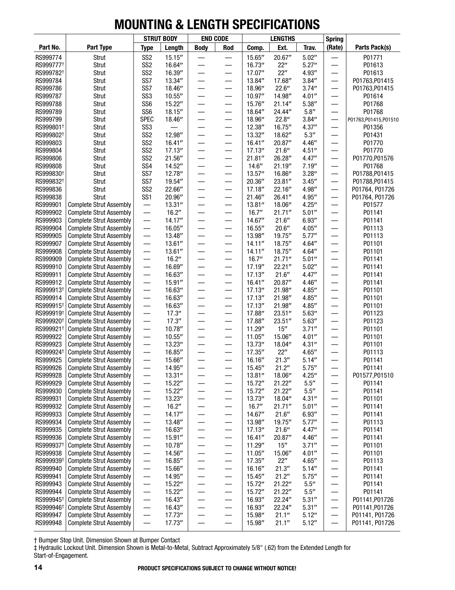|                       |                                                                  | <b>STRUT BODY</b>                  |                   | <b>END CODE</b>          |                                     | <b>LENGTHS</b>     |                  |                                | <b>Spring</b>            |                          |
|-----------------------|------------------------------------------------------------------|------------------------------------|-------------------|--------------------------|-------------------------------------|--------------------|------------------|--------------------------------|--------------------------|--------------------------|
| Part No.              | Part Type                                                        | <b>Type</b>                        | Length            | <b>Body</b>              | Rod                                 | Comp.              | Ext.             | Trav.                          | (Rate)                   | Parts Pack(s)            |
| RS999774              | Strut                                                            | SS <sub>2</sub>                    | 15.15''           |                          |                                     | 15.65"             | 20.67"           | 5.02''                         |                          | P01771                   |
| RS999777 <sup>+</sup> | Strut                                                            | SS <sub>2</sub>                    | 16.64"            |                          | —                                   | 16.73"             | 22"              | 5.27''                         |                          | P01613                   |
| RS999782 <sup>+</sup> | Strut                                                            | SS <sub>2</sub>                    | 16.39"            |                          |                                     | 17.07"             | 22"              | 4.93"                          |                          | P01613                   |
| RS999784              | Strut                                                            | SS7                                | 13.34"            |                          | —                                   | 13.84"             | 17.68"           | 3.84''                         | —                        | P01763, P01415           |
| RS999786              | Strut                                                            | SS7                                | 18.46"            |                          | —                                   | 18.96"             | 22.6''           | 3.74''                         | —                        | P01763, P01415           |
| RS999787              | Strut                                                            | SS <sub>3</sub>                    | 10.55''           |                          |                                     | 10.97"             | 14.98"           | 4.01''                         |                          | P01614                   |
| RS999788              | Strut                                                            | SS <sub>6</sub>                    | 15.22"            |                          | —                                   | 15.76"             | 21.14"           | 5.38''                         | —                        | P01768                   |
| RS999789              | Strut                                                            | SS <sub>6</sub>                    | 18.15"            |                          | —                                   | 18.64"             | 24.44"           | $5.8^{\prime\prime}$           |                          | P01768                   |
| RS999799              | Strut                                                            | <b>SPEC</b>                        | 18.46"            |                          | —                                   | 18.96"             | 22.8''           | 3.84''                         |                          | P01763,P01415,P01510     |
| RS999801 <sup>+</sup> | Strut                                                            | SS <sub>3</sub>                    |                   |                          | —                                   | 12.38"             | 16.75"           | 4.37''                         |                          | P01356                   |
| RS999802 <sup>+</sup> | Strut                                                            | SS <sub>2</sub><br>SS <sub>2</sub> | 12.98"            |                          | $\qquad \qquad \longleftarrow$      | 13.32''            | 18.62"           | 5.3''                          |                          | P01431                   |
| RS999803<br>RS999804  | Strut<br>Strut                                                   | SS <sub>2</sub>                    | 16.41''<br>17.13" |                          | —                                   | 16.41''<br>17.13'' | 20.87"<br>21.6'' | 4.46"<br>4.51''                |                          | P01770<br>P01770         |
| RS999806              | Strut                                                            | SS <sub>2</sub>                    | 21.56"            |                          |                                     | 21.81''            | 26.28"           | 4.47''                         | —                        | P01770, P01576           |
| RS999808              | Strut                                                            | SS <sub>4</sub>                    | 14.52"            |                          | —                                   | 14.6''             | 21.19"           | 7.19''                         | —<br>—                   | P01768                   |
| RS999830 <sup>+</sup> | Strut                                                            | SS7                                | 12.78"            |                          | —                                   | 13.57"             | 16.86"           | 3.28''                         | —                        | P01788, P01415           |
| RS999832 <sup>+</sup> | Strut                                                            | SS7                                | 19.54"            |                          | $\overline{\phantom{0}}$            | 20.36"             | 23.81"           | 3.45''                         |                          | P01788, P01415           |
| RS999836              | Strut                                                            | SS <sub>2</sub>                    | 22.66"            |                          | —                                   | 17.18"             | 22.16"           | 4.98"                          | —                        | P01764, P01726           |
| RS999838              | Strut                                                            | SS <sub>1</sub>                    | 20.96"            |                          | —                                   | 21.46"             | 26.41"           | 4.95"                          | —                        | P01764, P01726           |
| RS999901              | <b>Complete Strut Assembly</b>                                   | —                                  | 13.31''           |                          |                                     | 13.81"             | 18.06"           | 4.25''                         |                          | P01577                   |
| RS999902              | <b>Complete Strut Assembly</b>                                   | $\overline{\phantom{0}}$           | 16.2"             |                          | $\overline{\phantom{0}}$            | 16.7''             | 21.71''          | 5.01''                         |                          | P01141                   |
| RS999903              | <b>Complete Strut Assembly</b>                                   |                                    | 14.17"            |                          | —                                   | 14.67"             | 21.6''           | 6.93''                         | —                        | P01141                   |
| RS999904              | <b>Complete Strut Assembly</b>                                   |                                    | 16.05"            |                          | —                                   | 16.55"             | 20.6''           | 4.05''                         |                          | P01113                   |
| RS999905              | <b>Complete Strut Assembly</b>                                   | $\overline{\phantom{0}}$           | 13.48"            |                          | $\overline{\phantom{0}}$            | 13.98"             | 19.75"           | 5.77''                         |                          | P01113                   |
| RS999907              | <b>Complete Strut Assembly</b>                                   | $\overline{\phantom{0}}$           | 13.61''           | —                        | —                                   | 14.11''            | 18.75"           | 4.64''                         |                          | P01101                   |
| RS999908              | <b>Complete Strut Assembly</b>                                   |                                    | 13.61''           |                          | —                                   | 14.11''            | 18.75"           | 4.64''                         |                          | P01101                   |
| RS999909              | <b>Complete Strut Assembly</b>                                   |                                    | 16.2''            |                          |                                     | 16.7''             | 21.71''          | 5.01''                         |                          | P01141                   |
| RS999910              | <b>Complete Strut Assembly</b>                                   | $\overline{\phantom{0}}$           | 16.69"            |                          | $\overline{\phantom{0}}$            | 17.19"             | 22.21"           | 5.02''                         |                          | P01141                   |
| RS999911              | <b>Complete Strut Assembly</b>                                   | $\overline{\phantom{0}}$           | 16.63"            |                          | $\overline{\phantom{0}}$            | 17.13''            | 21.6''           | 4.47''                         |                          | P01141                   |
| RS999912              | <b>Complete Strut Assembly</b>                                   |                                    | 15.91"            |                          |                                     | 16.41''            | 20.87"           | 4.46"                          |                          | P01141                   |
| RS999913 <sup>+</sup> | <b>Complete Strut Assembly</b>                                   | $\overline{\phantom{0}}$           | 16.63"            |                          | —                                   | 17.13"             | 21.98"           | 4.85''                         |                          | P01101                   |
| RS999914              | <b>Complete Strut Assembly</b>                                   |                                    | 16.63"            | —                        | —                                   | 17.13''            | 21.98"           | 4.85''                         | —                        | P01101                   |
| RS999915 <sup>+</sup> | <b>Complete Strut Assembly</b>                                   | $\overline{\phantom{0}}$           | 16.63"            |                          | —                                   | 17.13''            | 21.98"           | 4.85''                         |                          | P01101                   |
| RS999919 <sup>+</sup> | <b>Complete Strut Assembly</b>                                   | —                                  | 17.3''            |                          | —                                   | 17.88"             | 23.51''          | 5.63''                         |                          | P01123                   |
| RS999920 <sup>+</sup> | <b>Complete Strut Assembly</b>                                   | $\overline{\phantom{0}}$           | 17.3''            |                          | $\overline{\phantom{0}}$            | 17.88"             | 23.51"           | 5.63''                         |                          | P01123                   |
| RS999921 <sup>+</sup> | <b>Complete Strut Assembly</b>                                   | $\overline{\phantom{0}}$           | 10.78"            |                          | —                                   | 11.29"             | 15''             | 3.71''                         |                          | P01101                   |
| RS999922              | <b>Complete Strut Assembly</b>                                   | $\overline{\phantom{0}}$           | 10.55''           |                          |                                     | 11.05''            | 15.06"           | 4.01''                         |                          | P01101                   |
| RS999923              | <b>Complete Strut Assembly</b>                                   |                                    | 13.23"            |                          |                                     | 13.73"             | 18.04"           | 4.31''                         |                          | P01101                   |
| RS999924 <sup>+</sup> | <b>Complete Strut Assembly</b>                                   |                                    | 16.85"            | —                        | $\qquad \qquad \longleftarrow$      | 17.35"             | 22"              | 4.65''                         | —                        | P01113                   |
| RS999925              | <b>Complete Strut Assembly</b>                                   | $\overline{\phantom{0}}$           | 15.66"            |                          | —                                   | 16.16"             | 21.3''           | 5.14''                         |                          | P01141                   |
| RS999926<br>RS999928  | <b>Complete Strut Assembly</b><br><b>Complete Strut Assembly</b> |                                    | 14.95"<br>13.31'' |                          |                                     | 15.45"<br>13.81"   | 21.2"<br>18.06"  | 5.75''                         |                          | P01141<br>P01577, P01510 |
| RS999929              | <b>Complete Strut Assembly</b>                                   | $\overline{\phantom{0}}$           | 15.22"            |                          |                                     | 15.72"             | 21.22"           | 4.25''<br>$5.5^{\prime\prime}$ |                          | P01141                   |
| RS999930              | <b>Complete Strut Assembly</b>                                   | —                                  | 15.22"            |                          | $\qquad \qquad \longleftarrow$<br>— | 15.72"             | 21.22"           | $5.5^{\prime\prime}$           |                          | P01141                   |
| RS999931              | <b>Complete Strut Assembly</b>                                   |                                    | 13.23"            | —<br>—                   | —                                   | 13.73"             | 18.04"           | 4.31''                         | —                        | P01101                   |
| RS999932              | <b>Complete Strut Assembly</b>                                   | $\overline{\phantom{0}}$           | 16.2"             |                          |                                     | 16.7''             | 21.71''          | 5.01''                         | $\qquad \qquad$          | P01141                   |
| RS999933              | <b>Complete Strut Assembly</b>                                   | $\overline{\phantom{0}}$           | 14.17''           | —                        | $\overline{\phantom{0}}$            | 14.67"             | 21.6''           | 6.93''                         | —                        | P01141                   |
| RS999934              | <b>Complete Strut Assembly</b>                                   | —                                  | 13.48"            | —                        | —                                   | 13.98"             | 19.75"           | 5.77''                         |                          | P01113                   |
| RS999935              | <b>Complete Strut Assembly</b>                                   | $\overline{\phantom{0}}$           | 16.63"            | $\overline{\phantom{0}}$ | —                                   | 17.13''            | 21.6''           | 4.47''                         |                          | P01141                   |
| RS999936              | <b>Complete Strut Assembly</b>                                   | $\overline{\phantom{0}}$           | 15.91''           | —                        | $\overline{\phantom{0}}$            | 16.41''            | 20.87"           | 4.46''                         |                          | P01141                   |
| RS999937 <sup>+</sup> | <b>Complete Strut Assembly</b>                                   | $\overline{\phantom{0}}$           | 10.78"            | $\overline{\phantom{0}}$ |                                     | 11.29"             | 15''             | 3.71''                         | $\overline{\phantom{0}}$ | P01101                   |
| RS999938              | <b>Complete Strut Assembly</b>                                   |                                    | 14.56"            | —                        | —                                   | 11.05''            | 15.06"           | 4.01''                         | —                        | P01101                   |
| RS999939 <sup>+</sup> | <b>Complete Strut Assembly</b>                                   | $\overline{\phantom{0}}$           | 16.85"            |                          |                                     | 17.35"             | 22"              | 4.65''                         | —                        | P01113                   |
| RS999940              | <b>Complete Strut Assembly</b>                                   | $\overline{\phantom{0}}$           | 15.66"            | —<br>—                   |                                     | 16.16"             | 21.3''           | 5.14''                         | $\overline{\phantom{0}}$ | P01141                   |
| RS999941              | <b>Complete Strut Assembly</b>                                   | —                                  | 14.95"            | —                        | —                                   | 15.45"             | 21.2"            | 5.75''                         |                          | P01141                   |
| RS999943              | <b>Complete Strut Assembly</b>                                   | $\overline{\phantom{0}}$           | 15.22"            | $\overline{\phantom{0}}$ | $\overline{\phantom{0}}$            | 15.72"             | 21.22"           | $5.5^{\prime\prime}$           | —                        | P01141                   |
| RS999944              | <b>Complete Strut Assembly</b>                                   | $\overline{\phantom{0}}$           | 15.22"            | —                        | $\overline{\phantom{0}}$            | 15.72"             | 21.22"           | 5.5''                          |                          | P01141                   |
| RS999945 <sup>+</sup> | <b>Complete Strut Assembly</b>                                   | $\overline{\phantom{0}}$           | 16.43"            | —                        | $\overline{\phantom{0}}$            | 16.93"             | 22.24"           | 5.31''                         | $\overline{\phantom{0}}$ | P01141, P01726           |
| RS999946 <sup>+</sup> | <b>Complete Strut Assembly</b>                                   | —                                  | 16.43"            | —                        | —                                   | 16.93"             | 22.24"           | 5.31''                         |                          | P01141, P01726           |
| RS999947              | <b>Complete Strut Assembly</b>                                   | $\overline{\phantom{0}}$           | 17.73"            | —                        |                                     | 15.98"             | 21.1''           | 5.12''                         | —                        | P01141, P01726           |
| RS999948              | <b>Complete Strut Assembly</b>                                   |                                    | 17.73"            |                          |                                     | 15.98"             | 21.1''           | 5.12''                         |                          | P01141, P01726           |

† Bumper Stop Unit. Dimension Shown at Bumper Contact